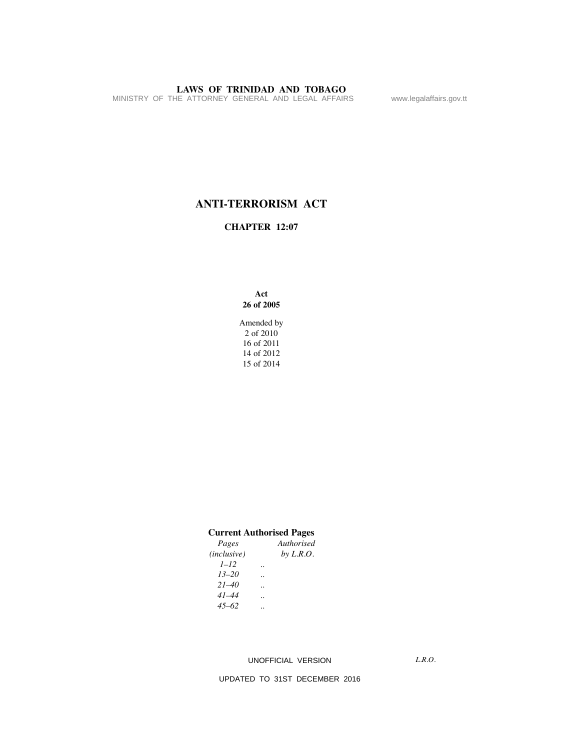MINISTRY OF THE ATTORNEY GENERAL AND LEGAL AFFAIRS www.legalaffairs.gov.tt

# **ANTI-TERRORISM ACT**

# **CHAPTER 12:07**

**Act 26 of 2005**

Amended by 2 of 2010 16 of 2011 14 of 2012 15 of 2014

### **Current Authorised Pages**

| Pages                |           | Authorised  |
|----------------------|-----------|-------------|
| ( <i>inclusive</i> ) |           | by $L.R.O.$ |
| $1 - 12$             |           |             |
| $13 - 20$            |           |             |
| $21 - 40$            |           |             |
| $41 - 44$            |           |             |
| $45 - 62$            | $\cdot$ . |             |

### UNOFFICIAL VERSION

*L.R.O.*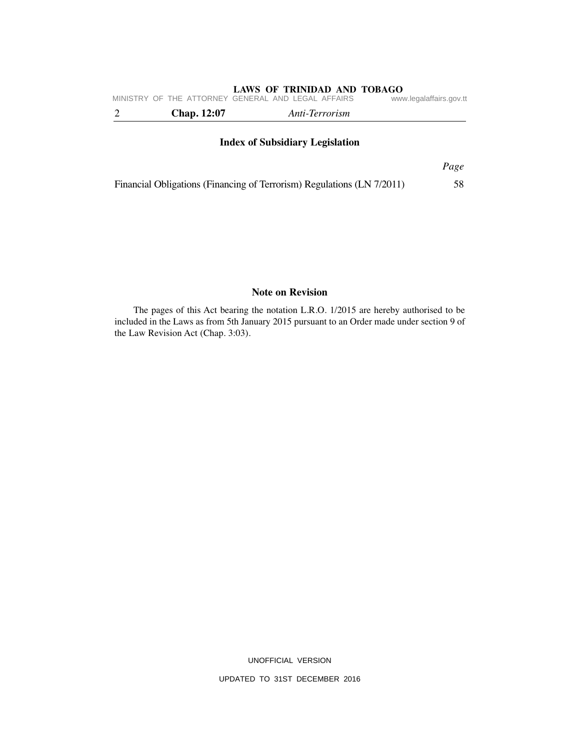|                                        | MINISTRY OF THE ATTORNEY GENERAL AND LEGAL AFFAIRS |                | www.legalaffairs.gov.tt |  |  |  |  |
|----------------------------------------|----------------------------------------------------|----------------|-------------------------|--|--|--|--|
|                                        | <b>Chap.</b> 12:07                                 | Anti-Terrorism |                         |  |  |  |  |
| <b>Index of Subsidiary Legislation</b> |                                                    |                |                         |  |  |  |  |
|                                        |                                                    |                | Page                    |  |  |  |  |

Financial Obligations (Financing of Terrorism) Regulations (LN 7/2011) 58

# **Note on Revision**

The pages of this Act bearing the notation L.R.O. 1/2015 are hereby authorised to be included in the Laws as from 5th January 2015 pursuant to an Order made under section 9 of the Law Revision Act (Chap. 3:03).

UNOFFICIAL VERSION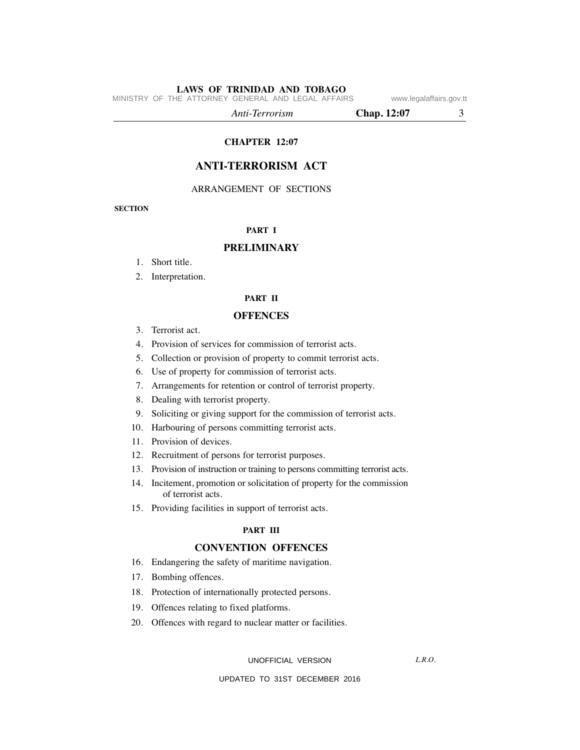MINISTRY OF THE ATTORNEY GENERAL AND LEGAL AFFAIRS www.legalaffairs.gov.tt

*Anti-Terrorism* **Chap. 12:07** 3

**CHAPTER 12:07**

# **ANTI-TERRORISM ACT**

ARRANGEMENT OF SECTIONS

**SECTION**

#### **PART I**

#### **PRELIMINARY**

- 1. Short title.
- 2. Interpretation.

### **PART II**

#### **OFFENCES**

- 3. Terrorist act.
- 4. Provision of services for commission of terrorist acts.
- 5. Collection or provision of property to commit terrorist acts.
- 6. Use of property for commission of terrorist acts.
- 7. Arrangements for retention or control of terrorist property.
- 8. Dealing with terrorist property.
- 9. Soliciting or giving support for the commission of terrorist acts.
- 10. Harbouring of persons committing terrorist acts.
- 11. Provision of devices.
- 12. Recruitment of persons for terrorist purposes.
- 13. Provision of instruction or training to persons committing terrorist acts.
- 14. Incitement, promotion or solicitation of property for the commission of terrorist acts.
- 15. Providing facilities in support of terrorist acts.

#### **PART III**

# **CONVENTION OFFENCES**

- 16. Endangering the safety of maritime navigation.
- 17. Bombing offences.
- 18. Protection of internationally protected persons.
- 19. Offences relating to fixed platforms.
- 20. Offences with regard to nuclear matter or facilities.

UNOFFICIAL VERSION

*L.R.O.*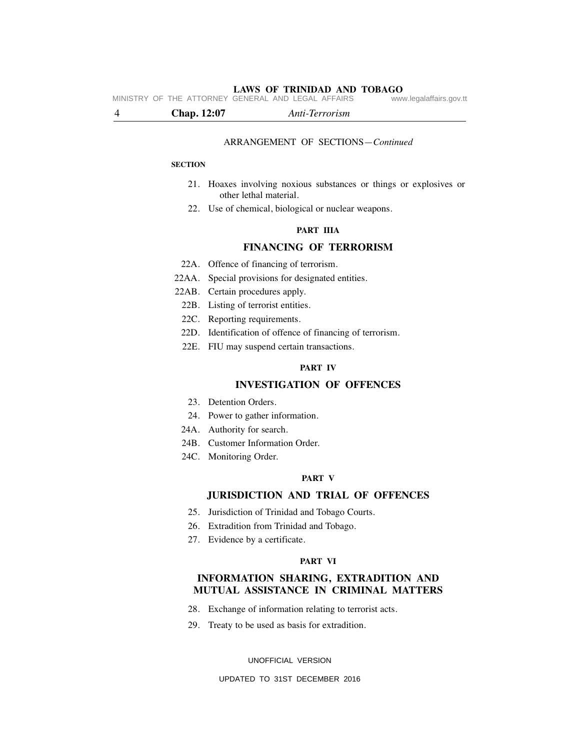**LAWS OF TRINIDAD AND TOBAGO** MINISTRY OF THE ATTORNEY GENERAL AND LEGAL AFFAIRS

4 **Chap. 12:07** *Anti-Terrorism*

#### ARRANGEMENT OF SECTIONS—*Continued*

#### **SECTION**

- 21. Hoaxes involving noxious substances or things or explosives or other lethal material.
- 22. Use of chemical, biological or nuclear weapons.

#### **PART IIIA**

#### **FINANCING OF TERRORISM**

- 22A. Offence of financing of terrorism.
- 22AA. Special provisions for designated entities.
- 22AB. Certain procedures apply.
	- 22B. Listing of terrorist entities.
	- 22C. Reporting requirements.
- 22D. Identification of offence of financing of terrorism.
- 22E. FIU may suspend certain transactions.

#### **PART IV**

# **INVESTIGATION OF OFFENCES**

- 23. Detention Orders.
- 24. Power to gather information.
- 24A. Authority for search.
- 24B. Customer Information Order.
- 24C. Monitoring Order.

#### **PART V**

# **JURISDICTION AND TRIAL OF OFFENCES**

- 25. Jurisdiction of Trinidad and Tobago Courts.
- 26. Extradition from Trinidad and Tobago.
- 27. Evidence by a certificate.

#### **PART VI**

# **INFORMATION SHARING, EXTRADITION AND MUTUAL ASSISTANCE IN CRIMINAL MATTERS**

- 28. Exchange of information relating to terrorist acts.
- 29. Treaty to be used as basis for extradition.

UNOFFICIAL VERSION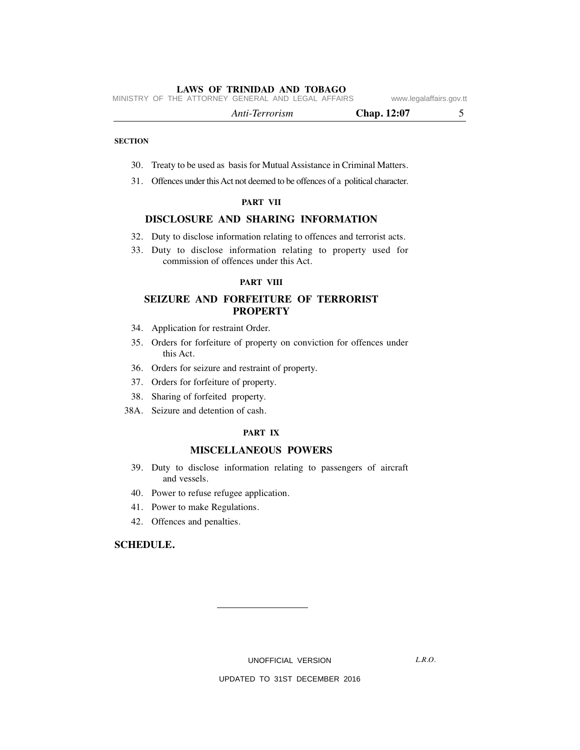MINISTRY OF THE ATTORNEY GENERAL AND LEGAL AFFAIRS www.legalaffairs.gov.tt

| Anti-Terrorism | Chap. 12:07 |  |
|----------------|-------------|--|
|----------------|-------------|--|

#### **SECTION**

- 30. Treaty to be used as basis for Mutual Assistance in Criminal Matters.
- 31. Offences under this Act not deemed to be offences of a political character.

#### **PART VII**

# **DISCLOSURE AND SHARING INFORMATION**

- 32. Duty to disclose information relating to offences and terrorist acts.
- 33. Duty to disclose information relating to property used for commission of offences under this Act.

#### **PART VIII**

# **SEIZURE AND FORFEITURE OF TERRORIST PROPERTY**

- 34. Application for restraint Order.
- 35. Orders for forfeiture of property on conviction for offences under this Act.
- 36. Orders for seizure and restraint of property.
- 37. Orders for forfeiture of property.
- 38. Sharing of forfeited property.
- 38A. Seizure and detention of cash.

#### **PART IX**

#### **MISCELLANEOUS POWERS**

- 39. Duty to disclose information relating to passengers of aircraft and vessels.
- 40. Power to refuse refugee application.
- 41. Power to make Regulations.
- 42. Offences and penalties.

#### **SCHEDULE.**

UNOFFICIAL VERSION

*L.R.O.*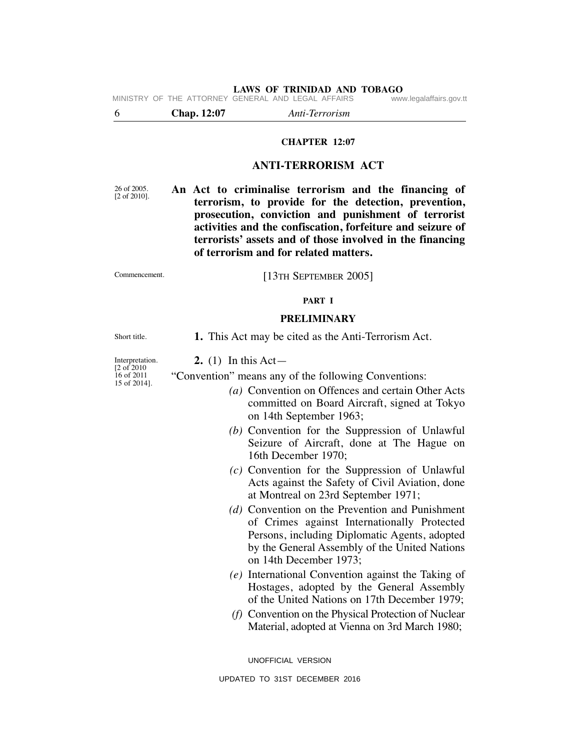**LAWS OF TRINIDAD AND TOBAGO**<br>GENERAL AND LEGAL AFFAIRS www.legalaffairs.gov.tt MINISTRY OF THE ATTORNEY GENERAL AND LEGAL AFFAIRS

6 **Chap. 12:07** *Anti-Terrorism*

#### **CHAPTER 12:07**

#### **ANTI-TERRORISM ACT**

26 of 2005. [2 of 2010]. **An Act to criminalise terrorism and the financing of terrorism, to provide for the detection, prevention, prosecution, conviction and punishment of terrorist activities and the confiscation, forfeiture and seizure of terrorists' assets and of those involved in the financing of terrorism and for related matters.**

Commencement.

[13TH SEPTEMBER 2005]

#### **PART I**

#### **PRELIMINARY**

**1.** This Act may be cited as the Anti-Terrorism Act.

Interpretation.  $[2 \text{ of } 2010]$ 16 of 2011 15 of 2014].

Short title.

**2.** (1) In this Act—

"Convention" means any of the following Conventions:

- *(a)* Convention on Offences and certain Other Acts committed on Board Aircraft, signed at Tokyo on 14th September 1963;
- *(b)* Convention for the Suppression of Unlawful Seizure of Aircraft, done at The Hague on 16th December 1970;
- *(c)* Convention for the Suppression of Unlawful Acts against the Safety of Civil Aviation, done at Montreal on 23rd September 1971;
- *(d)* Convention on the Prevention and Punishment of Crimes against Internationally Protected Persons, including Diplomatic Agents, adopted by the General Assembly of the United Nations on 14th December 1973;
- *(e)* International Convention against the Taking of Hostages, adopted by the General Assembly of the United Nations on 17th December 1979;
- *(f)* Convention on the Physical Protection of Nuclear Material, adopted at Vienna on 3rd March 1980;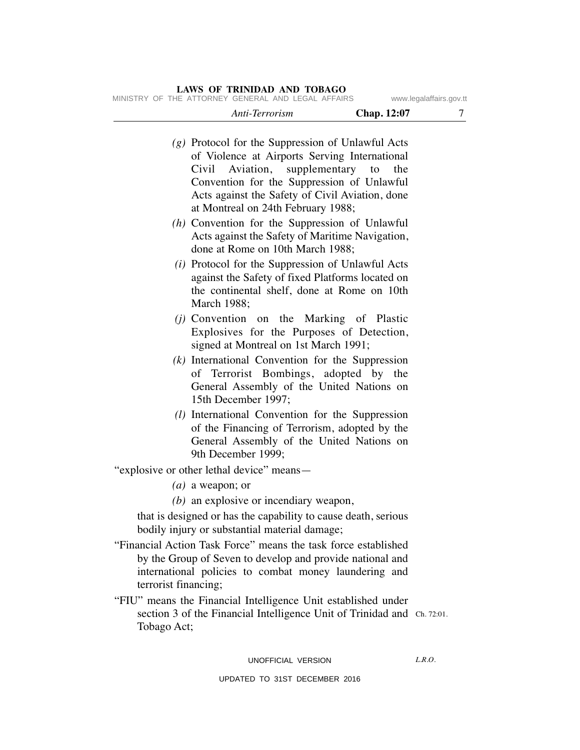| $(g)$ Protocol for the Suppression of Unlawful Acts<br>of Violence at Airports Serving International<br>Aviation, supplementary to<br>Civil<br>the<br>Convention for the Suppression of Unlawful<br>Acts against the Safety of Civil Aviation, done<br>at Montreal on 24th February 1988; |        |
|-------------------------------------------------------------------------------------------------------------------------------------------------------------------------------------------------------------------------------------------------------------------------------------------|--------|
| $(h)$ Convention for the Suppression of Unlawful<br>Acts against the Safety of Maritime Navigation,<br>done at Rome on 10th March 1988;                                                                                                                                                   |        |
| $(i)$ Protocol for the Suppression of Unlawful Acts<br>against the Safety of fixed Platforms located on<br>the continental shelf, done at Rome on 10th<br>March 1988;                                                                                                                     |        |
| ( <i>i</i> ) Convention on the Marking of Plastic<br>Explosives for the Purposes of Detection,<br>signed at Montreal on 1st March 1991;                                                                                                                                                   |        |
| $(k)$ International Convention for the Suppression<br>of Terrorist Bombings, adopted by the<br>General Assembly of the United Nations on<br>15th December 1997;                                                                                                                           |        |
| (1) International Convention for the Suppression<br>of the Financing of Terrorism, adopted by the<br>General Assembly of the United Nations on<br>9th December 1999;                                                                                                                      |        |
| "explosive or other lethal device" means—                                                                                                                                                                                                                                                 |        |
| $(a)$ a weapon; or                                                                                                                                                                                                                                                                        |        |
| $(b)$ an explosive or incendiary weapon,                                                                                                                                                                                                                                                  |        |
| that is designed or has the capability to cause death, serious<br>bodily injury or substantial material damage;                                                                                                                                                                           |        |
| "Financial Action Task Force" means the task force established<br>by the Group of Seven to develop and provide national and<br>international policies to combat money laundering and<br>terrorist financing;                                                                              |        |
| "FIU" means the Financial Intelligence Unit established under<br>section 3 of the Financial Intelligence Unit of Trinidad and Ch. 72:01.<br>Tobago Act;                                                                                                                                   |        |
| UNOFFICIAL VERSION                                                                                                                                                                                                                                                                        | L.R.O. |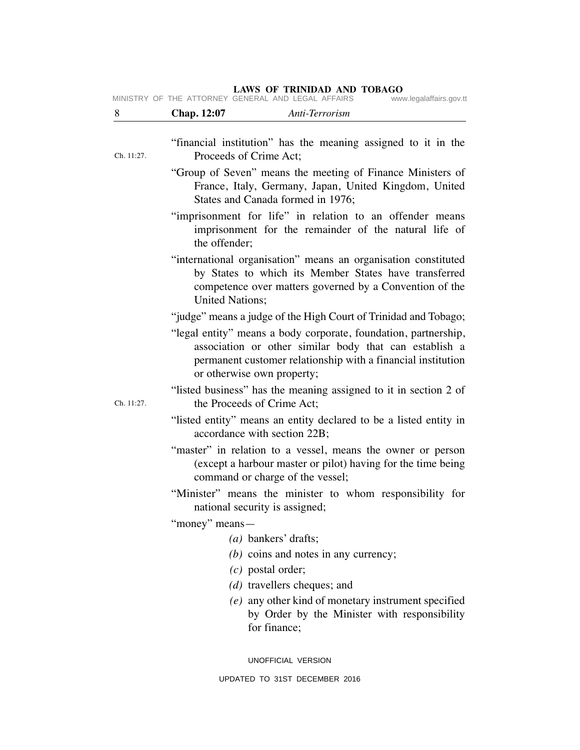MINISTRY OF THE ATTORNEY GENERAL AND LEGAL AFFAIRS www.legalaffairs.gov.tt

| 8          | Chap. 12:07<br>Anti-Terrorism                                                                                                                                                                                                                                                              |
|------------|--------------------------------------------------------------------------------------------------------------------------------------------------------------------------------------------------------------------------------------------------------------------------------------------|
| Ch. 11:27. | "financial institution" has the meaning assigned to it in the<br>Proceeds of Crime Act;                                                                                                                                                                                                    |
|            | "Group of Seven" means the meeting of Finance Ministers of<br>France, Italy, Germany, Japan, United Kingdom, United<br>States and Canada formed in 1976;                                                                                                                                   |
|            | "imprisonment for life" in relation to an offender means<br>imprisonment for the remainder of the natural life of<br>the offender;                                                                                                                                                         |
|            | "international organisation" means an organisation constituted<br>by States to which its Member States have transferred<br>competence over matters governed by a Convention of the<br><b>United Nations;</b>                                                                               |
|            | "judge" means a judge of the High Court of Trinidad and Tobago;<br>"legal entity" means a body corporate, foundation, partnership,<br>association or other similar body that can establish a<br>permanent customer relationship with a financial institution<br>or otherwise own property; |
| Ch. 11:27. | "listed business" has the meaning assigned to it in section 2 of<br>the Proceeds of Crime Act:                                                                                                                                                                                             |
|            | "listed entity" means an entity declared to be a listed entity in<br>accordance with section 22B;                                                                                                                                                                                          |
|            | "master" in relation to a vessel, means the owner or person<br>(except a harbour master or pilot) having for the time being<br>command or charge of the vessel;                                                                                                                            |
|            | "Minister" means the minister to whom responsibility for<br>national security is assigned;                                                                                                                                                                                                 |
|            | "money" means—                                                                                                                                                                                                                                                                             |
|            | $(a)$ bankers' drafts;                                                                                                                                                                                                                                                                     |
|            | $(b)$ coins and notes in any currency;                                                                                                                                                                                                                                                     |
|            | $(c)$ postal order;                                                                                                                                                                                                                                                                        |
|            | $(d)$ travellers cheques; and                                                                                                                                                                                                                                                              |
|            | (e) any other kind of monetary instrument specified<br>by Order by the Minister with responsibility<br>for finance;                                                                                                                                                                        |
|            |                                                                                                                                                                                                                                                                                            |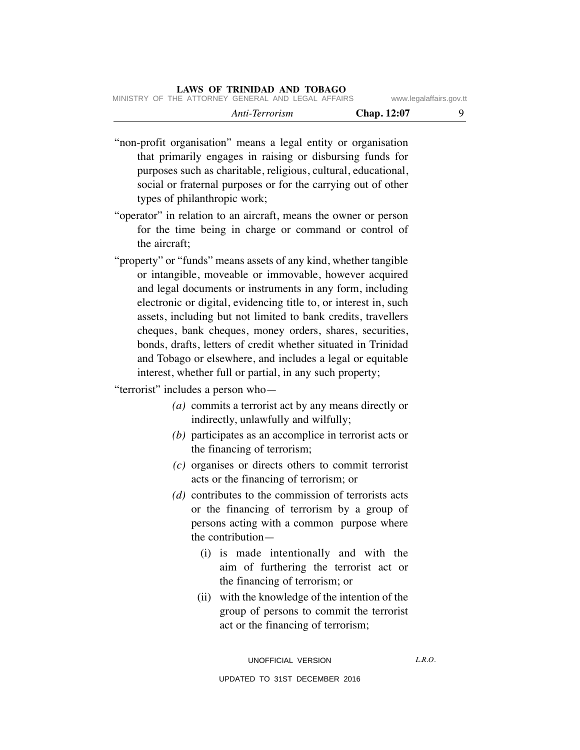| Anti-Terrorism | Chap. 12:07 |
|----------------|-------------|
|                |             |

- "non-profit organisation" means a legal entity or organisation that primarily engages in raising or disbursing funds for purposes such as charitable, religious, cultural, educational, social or fraternal purposes or for the carrying out of other types of philanthropic work;
- "operator" in relation to an aircraft, means the owner or person for the time being in charge or command or control of the aircraft;
- "property" or "funds" means assets of any kind, whether tangible or intangible, moveable or immovable, however acquired and legal documents or instruments in any form, including electronic or digital, evidencing title to, or interest in, such assets, including but not limited to bank credits, travellers cheques, bank cheques, money orders, shares, securities, bonds, drafts, letters of credit whether situated in Trinidad and Tobago or elsewhere, and includes a legal or equitable interest, whether full or partial, in any such property;

"terrorist" includes a person who—

- *(a)* commits a terrorist act by any means directly or indirectly, unlawfully and wilfully;
- *(b)* participates as an accomplice in terrorist acts or the financing of terrorism;
- *(c)* organises or directs others to commit terrorist acts or the financing of terrorism; or
- *(d)* contributes to the commission of terrorists acts or the financing of terrorism by a group of persons acting with a common purpose where the contribution—
	- (i) is made intentionally and with the aim of furthering the terrorist act or the financing of terrorism; or
	- (ii) with the knowledge of the intention of the group of persons to commit the terrorist act or the financing of terrorism;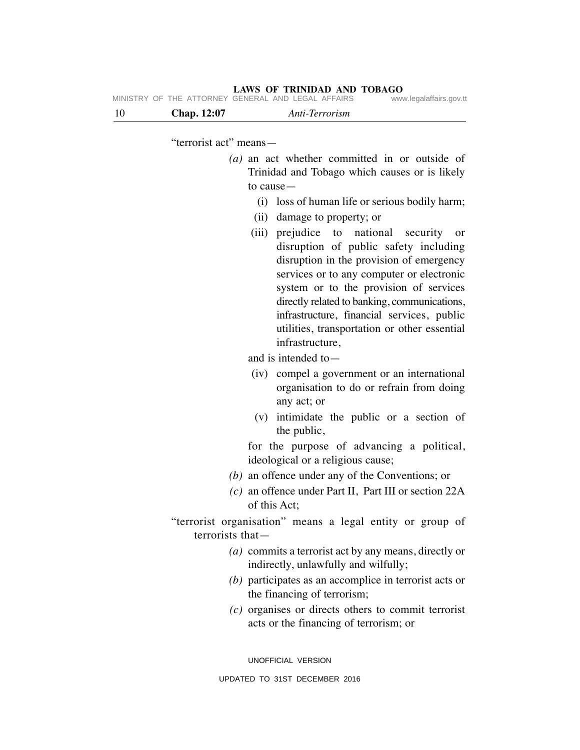| - 10 | <b>Chap.</b> 12:07 | Anti-Terrorism                                     |                         |
|------|--------------------|----------------------------------------------------|-------------------------|
|      |                    | MINISTRY OF THE ATTORNEY GENERAL AND LEGAL AFFAIRS | www.legalaffairs.gov.tt |

"terrorist act" means—

- *(a)* an act whether committed in or outside of Trinidad and Tobago which causes or is likely to cause—
	- (i) loss of human life or serious bodily harm;
	- (ii) damage to property; or
	- (iii) prejudice to national security or disruption of public safety including disruption in the provision of emergency services or to any computer or electronic system or to the provision of services directly related to banking, communications, infrastructure, financial services, public utilities, transportation or other essential infrastructure,

and is intended to—

- (iv) compel a government or an international organisation to do or refrain from doing any act; or
- (v) intimidate the public or a section of the public,

for the purpose of advancing a political, ideological or a religious cause;

- *(b)* an offence under any of the Conventions; or
- *(c)* an offence under Part II, Part III or section 22A of this Act;

"terrorist organisation" means a legal entity or group of terrorists that—

- *(a)* commits a terrorist act by any means, directly or indirectly, unlawfully and wilfully;
- *(b)* participates as an accomplice in terrorist acts or the financing of terrorism;
- *(c)* organises or directs others to commit terrorist acts or the financing of terrorism; or

UNOFFICIAL VERSION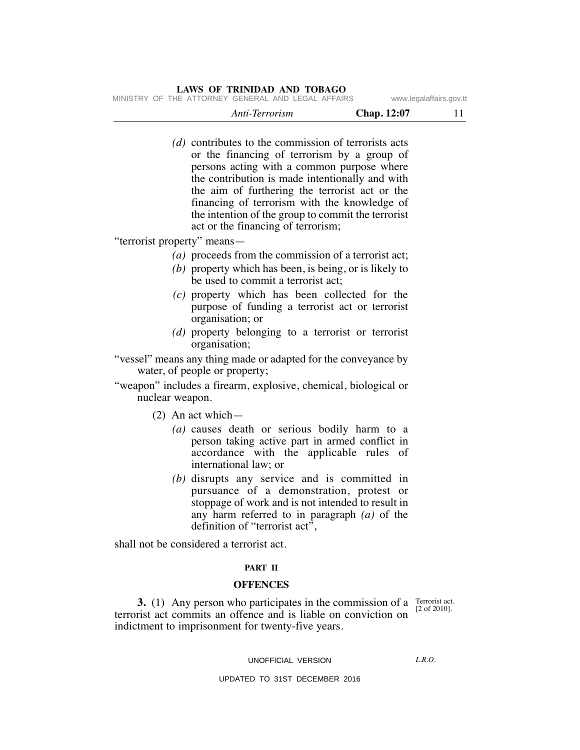MINISTRY OF THE ATTORNEY GENERAL AND LEGAL AFFAIRS www.legalaffairs.gov.tt

| Anti-Terrorism | Chap. 12:07 |  |
|----------------|-------------|--|
|                |             |  |

*(d)* contributes to the commission of terrorists acts or the financing of terrorism by a group of persons acting with a common purpose where the contribution is made intentionally and with the aim of furthering the terrorist act or the financing of terrorism with the knowledge of the intention of the group to commit the terrorist act or the financing of terrorism;

"terrorist property" means—

- *(a)* proceeds from the commission of a terrorist act;
- *(b)* property which has been, is being, or is likely to be used to commit a terrorist act;
- *(c)* property which has been collected for the purpose of funding a terrorist act or terrorist organisation; or
- *(d)* property belonging to a terrorist or terrorist organisation;
- "vessel" means any thing made or adapted for the conveyance by water, of people or property;
- "weapon" includes a firearm, explosive, chemical, biological or nuclear weapon.
	- (2) An act which—
		- *(a)* causes death or serious bodily harm to a person taking active part in armed conflict in accordance with the applicable rules of international law; or
		- *(b)* disrupts any service and is committed in pursuance of a demonstration, protest or stoppage of work and is not intended to result in any harm referred to in paragraph *(a)* of the definition of "terrorist act",

shall not be considered a terrorist act.

# **PART II**

#### **OFFENCES**

**3.** (1) Any person who participates in the commission of a  $\frac{\text{Terorist act}}{\text{[2 of 2010]}}$ terrorist act commits an offence and is liable on conviction on indictment to imprisonment for twenty-five years.

[2 of 2010].

### UNOFFICIAL VERSION

 $LRO$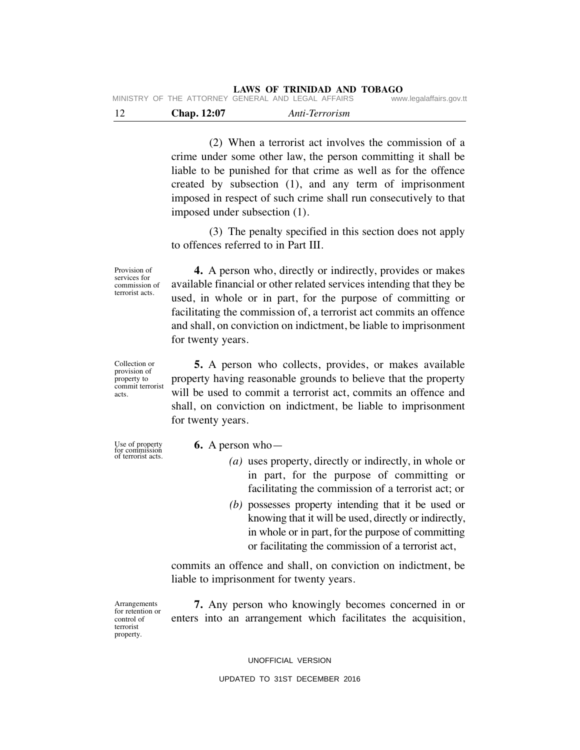| - 12 | <b>Chap.</b> 12:07 | Anti-Terrorism                                     |                         |
|------|--------------------|----------------------------------------------------|-------------------------|
|      |                    | MINISTRY OF THE ATTORNEY GENERAL AND LEGAL AFFAIRS | www.legalaffairs.gov.tt |

(2) When a terrorist act involves the commission of a crime under some other law, the person committing it shall be liable to be punished for that crime as well as for the offence created by subsection (1), and any term of imprisonment imposed in respect of such crime shall run consecutively to that imposed under subsection (1).

(3) The penalty specified in this section does not apply to offences referred to in Part III.

Provision of services for commission of terrorist acts.

**4.** A person who, directly or indirectly, provides or makes available financial or other related services intending that they be used, in whole or in part, for the purpose of committing or facilitating the commission of, a terrorist act commits an offence and shall, on conviction on indictment, be liable to imprisonment for twenty years.

Collection or provision of property to commit terrorist acts.

**5.** A person who collects, provides, or makes available property having reasonable grounds to believe that the property will be used to commit a terrorist act, commits an offence and shall, on conviction on indictment, be liable to imprisonment for twenty years.

Use of property for commission of terrorist acts.

- **6.** A person who—
	- *(a)* uses property, directly or indirectly, in whole or in part, for the purpose of committing or facilitating the commission of a terrorist act; or
	- *(b)* possesses property intending that it be used or knowing that it will be used, directly or indirectly, in whole or in part, for the purpose of committing or facilitating the commission of a terrorist act,

commits an offence and shall, on conviction on indictment, be liable to imprisonment for twenty years.

Arrangements for retention or control of terrorist property.

**7.** Any person who knowingly becomes concerned in or enters into an arrangement which facilitates the acquisition,

UNOFFICIAL VERSION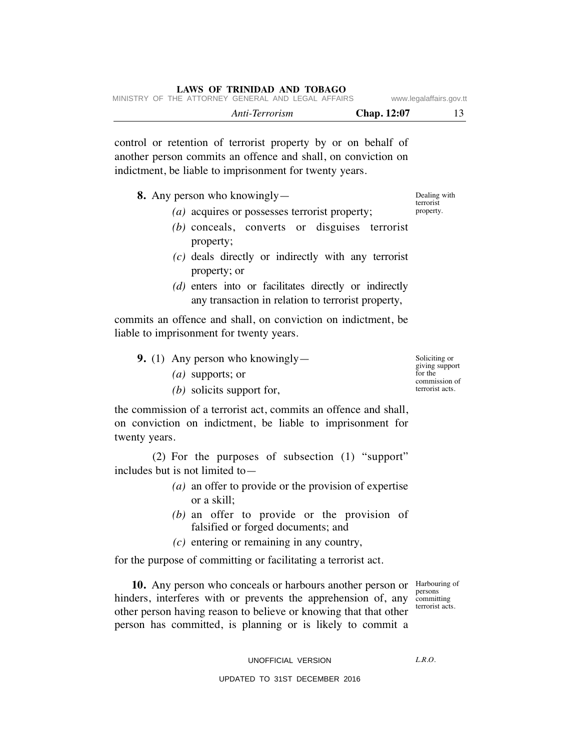|  |                                                    | Anti-Terrorism |  | <b>Chap.</b> 12:07 |                         |
|--|----------------------------------------------------|----------------|--|--------------------|-------------------------|
|  | MINISTRY OF THE ATTORNEY GENERAL AND LEGAL AFFAIRS |                |  |                    | www.legalaffairs.gov.tt |

control or retention of terrorist property by or on behalf of another person commits an offence and shall, on conviction on indictment, be liable to imprisonment for twenty years.

**8.** Any person who knowingly—

- *(a)* acquires or possesses terrorist property;
- *(b)* conceals, converts or disguises terrorist property;
- *(c)* deals directly or indirectly with any terrorist property; or
- *(d)* enters into or facilitates directly or indirectly any transaction in relation to terrorist property,

commits an offence and shall, on conviction on indictment, be liable to imprisonment for twenty years.

- **9.** (1) Any person who knowingly—
	- *(a)* supports; or
	- *(b)* solicits support for,

the commission of a terrorist act, commits an offence and shall, on conviction on indictment, be liable to imprisonment for twenty years.

(2) For the purposes of subsection (1) "support" includes but is not limited to—

- *(a)* an offer to provide or the provision of expertise or a skill;
- *(b)* an offer to provide or the provision of falsified or forged documents; and
- *(c)* entering or remaining in any country,

for the purpose of committing or facilitating a terrorist act.

10. Any person who conceals or harbours another person or Harbouring of hinders, interferes with or prevents the apprehension of, any other person having reason to believe or knowing that that other person has committed, is planning or is likely to commit a

persons committing terrorist acts.

UNOFFICIAL VERSION

 $LRO$ 

UPDATED TO 31ST DECEMBER 2016

Soliciting or giving support for the commission of terrorist acts.

Dealing with terrorist property.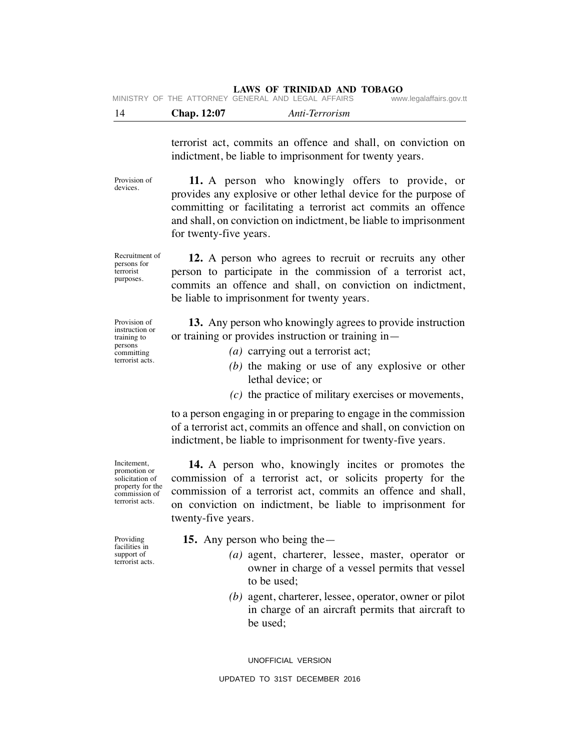|  | MINISTRY OF THE ATTORNEY GENERAL AND LEGAL AFFAIRS |  |  | www.legalaffairs.gov.tt |
|--|----------------------------------------------------|--|--|-------------------------|
|  |                                                    |  |  |                         |

| 14 | Chap. 12:07 | Anti-Terrorism |
|----|-------------|----------------|
|    |             |                |

terrorist act, commits an offence and shall, on conviction on indictment, be liable to imprisonment for twenty years.

**11.** A person who knowingly offers to provide, or provides any explosive or other lethal device for the purpose of committing or facilitating a terrorist act commits an offence and shall, on conviction on indictment, be liable to imprisonment for twenty-five years.

**12.** A person who agrees to recruit or recruits any other person to participate in the commission of a terrorist act, commits an offence and shall, on conviction on indictment, be liable to imprisonment for twenty years.

**13.** Any person who knowingly agrees to provide instruction or training or provides instruction or training in—

- *(a)* carrying out a terrorist act;
- *(b)* the making or use of any explosive or other lethal device; or
- *(c)* the practice of military exercises or movements,

to a person engaging in or preparing to engage in the commission of a terrorist act, commits an offence and shall, on conviction on indictment, be liable to imprisonment for twenty-five years.

**14.** A person who, knowingly incites or promotes the commission of a terrorist act, or solicits property for the commission of a terrorist act, commits an offence and shall, on conviction on indictment, be liable to imprisonment for twenty-five years.

- **15.** Any person who being the—
	- *(a)* agent, charterer, lessee, master, operator or owner in charge of a vessel permits that vessel to be used;
	- *(b)* agent, charterer, lessee, operator, owner or pilot in charge of an aircraft permits that aircraft to be used;

UNOFFICIAL VERSION

UPDATED TO 31ST DECEMBER 2016

Incitement, promotion or solicitation of property for the commission of terrorist acts.

Providing facilities in support of terrorist acts.

Recruitment of persons for terrorist purposes.

Provision of devices.

Provision of instruction or training to persons committing terrorist acts.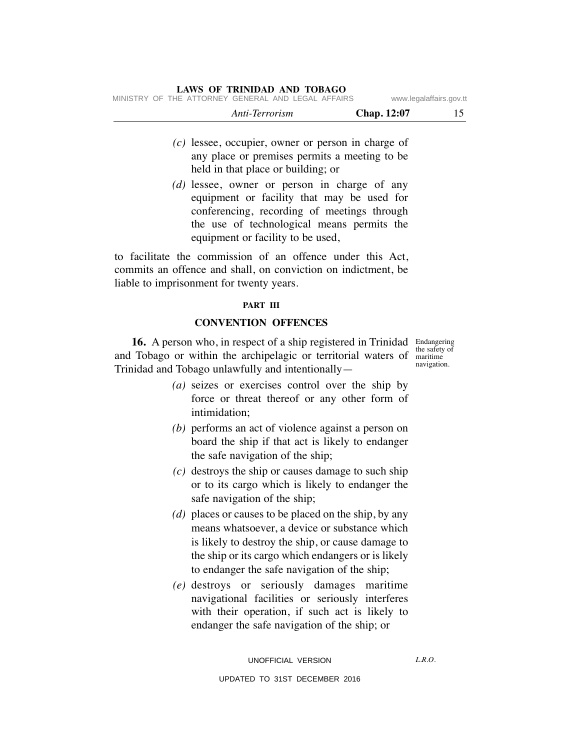| MINISTRY OF THE ATTORNEY GENERAL AND LEGAL AFFAIRS |  |  |                |  |                    | www.legalaffairs.gov.tt |  |
|----------------------------------------------------|--|--|----------------|--|--------------------|-------------------------|--|
|                                                    |  |  | Anti-Terrorism |  | <b>Chap.</b> 12:07 |                         |  |

- *(c)* lessee, occupier, owner or person in charge of any place or premises permits a meeting to be held in that place or building; or
- *(d)* lessee, owner or person in charge of any equipment or facility that may be used for conferencing, recording of meetings through the use of technological means permits the equipment or facility to be used,

to facilitate the commission of an offence under this Act, commits an offence and shall, on conviction on indictment, be liable to imprisonment for twenty years.

#### **PART III**

# **CONVENTION OFFENCES**

**16.** A person who, in respect of a ship registered in Trinidad Endangering and Tobago or within the archipelagic or territorial waters of maritime Trinidad and Tobago unlawfully and intentionally—

the safety of navigation.

- *(a)* seizes or exercises control over the ship by force or threat thereof or any other form of intimidation;
- *(b)* performs an act of violence against a person on board the ship if that act is likely to endanger the safe navigation of the ship;
- *(c)* destroys the ship or causes damage to such ship or to its cargo which is likely to endanger the safe navigation of the ship;
- *(d)* places or causes to be placed on the ship, by any means whatsoever, a device or substance which is likely to destroy the ship, or cause damage to the ship or its cargo which endangers or is likely to endanger the safe navigation of the ship;
- *(e)* destroys or seriously damages maritime navigational facilities or seriously interferes with their operation, if such act is likely to endanger the safe navigation of the ship; or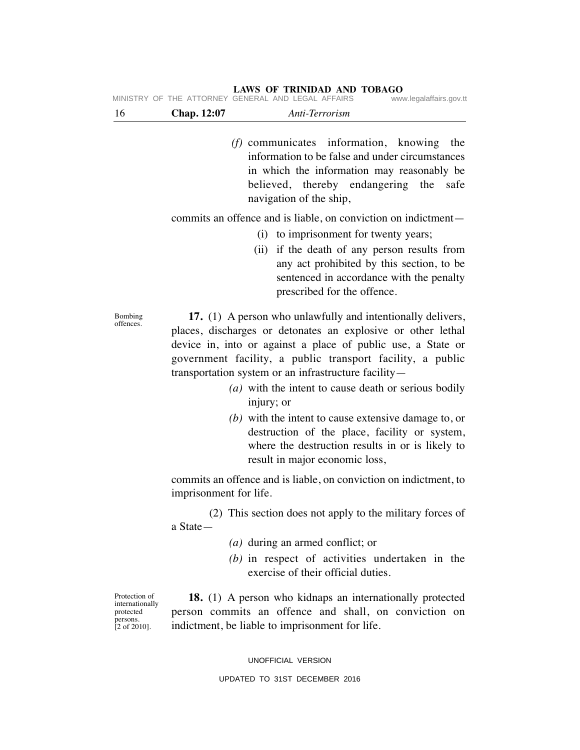*(f)* communicates information, knowing the information to be false and under circumstances in which the information may reasonably be believed, thereby endangering the safe navigation of the ship,

commits an offence and is liable, on conviction on indictment—

- (i) to imprisonment for twenty years;
- (ii) if the death of any person results from any act prohibited by this section, to be sentenced in accordance with the penalty prescribed for the offence.

**17.** (1) A person who unlawfully and intentionally delivers, places, discharges or detonates an explosive or other lethal device in, into or against a place of public use, a State or government facility, a public transport facility, a public transportation system or an infrastructure facility—

- *(a)* with the intent to cause death or serious bodily injury; or
- *(b)* with the intent to cause extensive damage to, or destruction of the place, facility or system, where the destruction results in or is likely to result in major economic loss,

commits an offence and is liable, on conviction on indictment, to imprisonment for life.

(2) This section does not apply to the military forces of a State—

- *(a)* during an armed conflict; or
- *(b)* in respect of activities undertaken in the exercise of their official duties.

Protection of internationally protected persons. [2 of 2010].

**18.** (1) A person who kidnaps an internationally protected person commits an offence and shall, on conviction on indictment, be liable to imprisonment for life.

UNOFFICIAL VERSION

### UPDATED TO 31ST DECEMBER 2016

Bombing offences.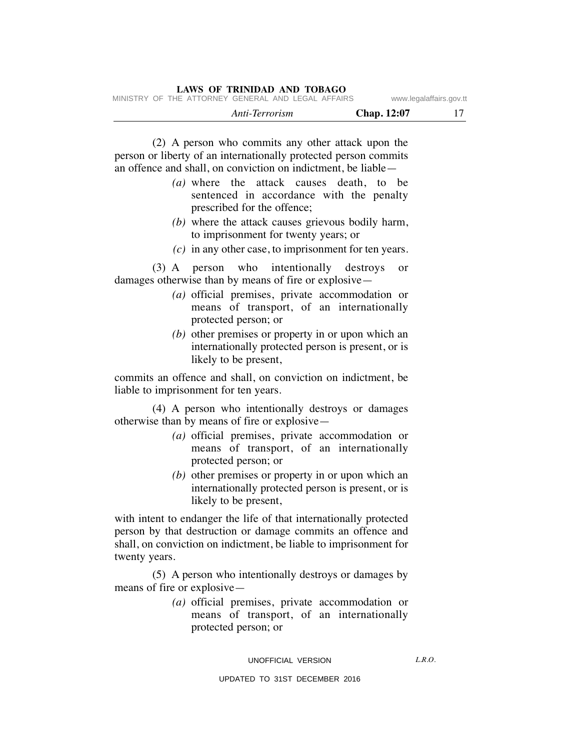|  | LAWS OF TRINIDAD AND TOBAGO                        |                |  |                    |                         |
|--|----------------------------------------------------|----------------|--|--------------------|-------------------------|
|  | MINISTRY OF THE ATTORNEY GENERAL AND LEGAL AFFAIRS |                |  |                    | www.legalaffairs.gov.tt |
|  |                                                    | Anti-Terrorism |  | <b>Chap.</b> 12:07 |                         |

(2) A person who commits any other attack upon the person or liberty of an internationally protected person commits an offence and shall, on conviction on indictment, be liable—

- *(a)* where the attack causes death, to be sentenced in accordance with the penalty prescribed for the offence;
- *(b)* where the attack causes grievous bodily harm, to imprisonment for twenty years; or
- *(c)* in any other case, to imprisonment for ten years.

(3) A person who intentionally destroys or damages otherwise than by means of fire or explosive—

- *(a)* official premises, private accommodation or means of transport, of an internationally protected person; or
- *(b)* other premises or property in or upon which an internationally protected person is present, or is likely to be present,

commits an offence and shall, on conviction on indictment, be liable to imprisonment for ten years.

(4) A person who intentionally destroys or damages otherwise than by means of fire or explosive—

- *(a)* official premises, private accommodation or means of transport, of an internationally protected person; or
- *(b)* other premises or property in or upon which an internationally protected person is present, or is likely to be present,

with intent to endanger the life of that internationally protected person by that destruction or damage commits an offence and shall, on conviction on indictment, be liable to imprisonment for twenty years.

(5) A person who intentionally destroys or damages by means of fire or explosive—

> *(a)* official premises, private accommodation or means of transport, of an internationally protected person; or

#### UNOFFICIAL VERSION

 $LRO$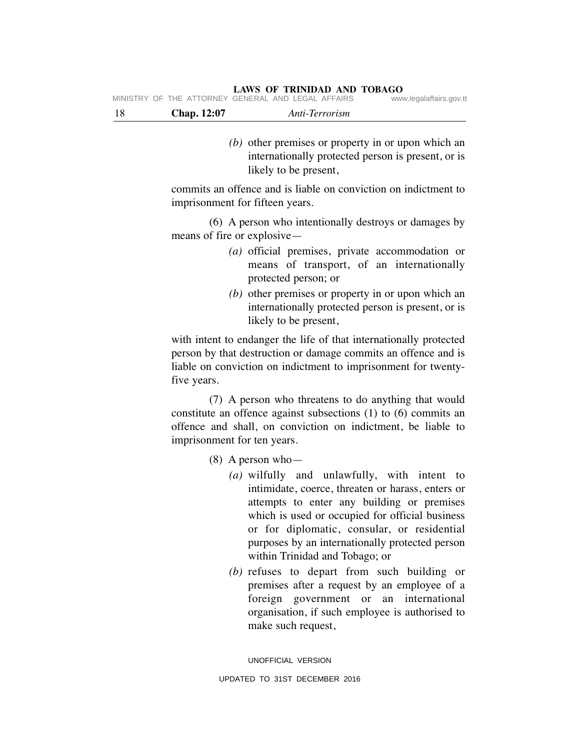MINISTRY OF THE ATTORNEY GENERAL AND LEGAL AFFAIRS

- 18 **Chap. 12:07** *Anti-Terrorism*
	- *(b)* other premises or property in or upon which an internationally protected person is present, or is likely to be present,

commits an offence and is liable on conviction on indictment to imprisonment for fifteen years.

(6) A person who intentionally destroys or damages by means of fire or explosive—

- *(a)* official premises, private accommodation or means of transport, of an internationally protected person; or
- *(b)* other premises or property in or upon which an internationally protected person is present, or is likely to be present,

with intent to endanger the life of that internationally protected person by that destruction or damage commits an offence and is liable on conviction on indictment to imprisonment for twentyfive years.

(7) A person who threatens to do anything that would constitute an offence against subsections (1) to (6) commits an offence and shall, on conviction on indictment, be liable to imprisonment for ten years.

(8) A person who—

- *(a)* wilfully and unlawfully, with intent to intimidate, coerce, threaten or harass, enters or attempts to enter any building or premises which is used or occupied for official business or for diplomatic, consular, or residential purposes by an internationally protected person within Trinidad and Tobago; or
- *(b)* refuses to depart from such building or premises after a request by an employee of a foreign government or an international organisation, if such employee is authorised to make such request,

UNOFFICIAL VERSION UPDATED TO 31ST DECEMBER 2016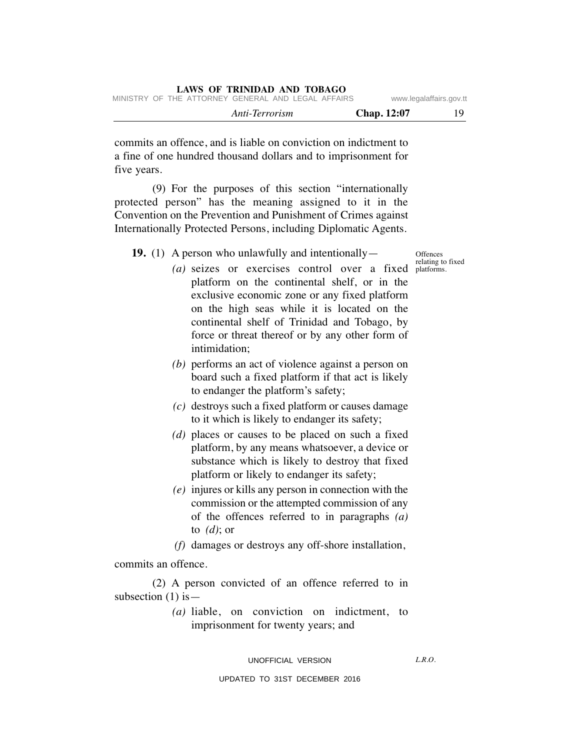commits an offence, and is liable on conviction on indictment to a fine of one hundred thousand dollars and to imprisonment for five years.

(9) For the purposes of this section "internationally protected person" has the meaning assigned to it in the Convention on the Prevention and Punishment of Crimes against Internationally Protected Persons, including Diplomatic Agents.

**19.** (1) A person who unlawfully and intentionally—

**Offences** relating to fixed

- (a) seizes or exercises control over a fixed platforms. platform on the continental shelf, or in the exclusive economic zone or any fixed platform on the high seas while it is located on the continental shelf of Trinidad and Tobago, by force or threat thereof or by any other form of intimidation;
- *(b)* performs an act of violence against a person on board such a fixed platform if that act is likely to endanger the platform's safety;
- *(c)* destroys such a fixed platform or causes damage to it which is likely to endanger its safety;
- *(d)* places or causes to be placed on such a fixed platform, by any means whatsoever, a device or substance which is likely to destroy that fixed platform or likely to endanger its safety;
- *(e)* injures or kills any person in connection with the commission or the attempted commission of any of the offences referred to in paragraphs *(a)* to *(d)*; or
- *(f)* damages or destroys any off-shore installation,

# commits an offence.

(2) A person convicted of an offence referred to in subsection  $(1)$  is —

> *(a)* liable, on conviction on indictment, to imprisonment for twenty years; and

### UNOFFICIAL VERSION

 $LRO$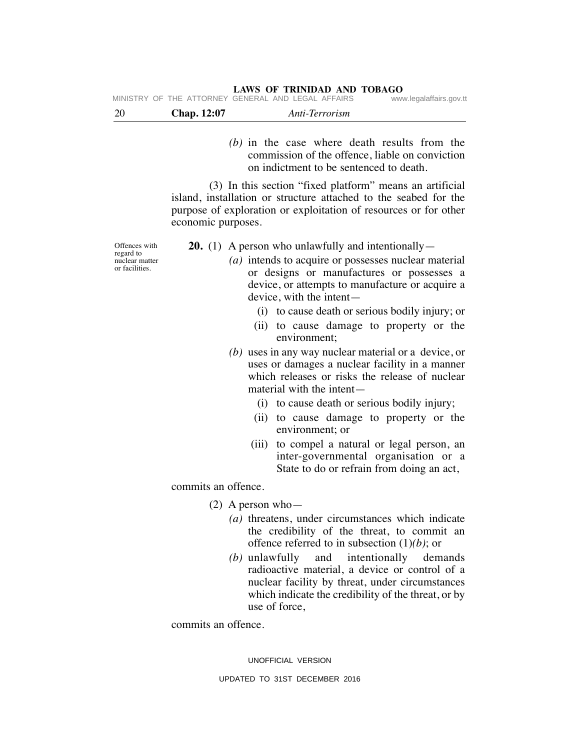|     |             | $1.1110 \, \text{V}$ . The second second second second second second second second second second second second second second second second second second second second second second second second second second second second sec |                         |
|-----|-------------|------------------------------------------------------------------------------------------------------------------------------------------------------------------------------------------------------------------------------------|-------------------------|
|     |             | MINISTRY OF THE ATTORNEY GENERAL AND LEGAL AFFAIRS                                                                                                                                                                                 | www.legalaffairs.gov.tt |
| -20 | Chap. 12:07 | Anti-Terrorism                                                                                                                                                                                                                     |                         |

*(b)* in the case where death results from the commission of the offence, liable on conviction on indictment to be sentenced to death.

(3) In this section "fixed platform" means an artificial island, installation or structure attached to the seabed for the purpose of exploration or exploitation of resources or for other economic purposes.

Offences with regard to nuclear matter or facilities.

**20.** (1) A person who unlawfully and intentionally—

- *(a)* intends to acquire or possesses nuclear material or designs or manufactures or possesses a device, or attempts to manufacture or acquire a device, with the intent—
	- (i) to cause death or serious bodily injury; or
	- (ii) to cause damage to property or the environment;
- *(b)* uses in any way nuclear material or a device, or uses or damages a nuclear facility in a manner which releases or risks the release of nuclear material with the intent—
	- (i) to cause death or serious bodily injury;
	- (ii) to cause damage to property or the environment; or
	- (iii) to compel a natural or legal person, an inter-governmental organisation or a State to do or refrain from doing an act,

commits an offence.

(2) A person who—

- *(a)* threatens, under circumstances which indicate the credibility of the threat, to commit an offence referred to in subsection (1)*(b)*; or
- *(b)* unlawfully and intentionally demands radioactive material, a device or control of a nuclear facility by threat, under circumstances which indicate the credibility of the threat, or by use of force,

commits an offence.

UNOFFICIAL VERSION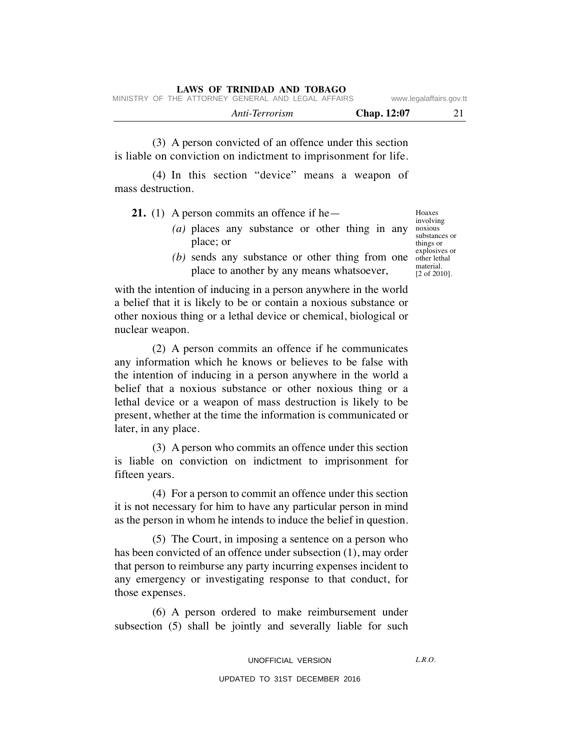|  |                                                    | Anti-Terrorism |  | <b>Chap.</b> 12:07 |                         |
|--|----------------------------------------------------|----------------|--|--------------------|-------------------------|
|  | MINISTRY OF THE ATTORNEY GENERAL AND LEGAL AFFAIRS |                |  |                    | www.legalaffairs.gov.tt |

(3) A person convicted of an offence under this section is liable on conviction on indictment to imprisonment for life.

(4) In this section "device" means a weapon of mass destruction.

**21.** (1) A person commits an offence if he—

- (a) places any substance or other thing in any noxious place; or
- $(b)$  sends any substance or other thing from one  $\frac{\text{explosives or}}{\text{other lethal}}$ place to another by any means whatsoever,

with the intention of inducing in a person anywhere in the world a belief that it is likely to be or contain a noxious substance or other noxious thing or a lethal device or chemical, biological or nuclear weapon.

(2) A person commits an offence if he communicates any information which he knows or believes to be false with the intention of inducing in a person anywhere in the world a belief that a noxious substance or other noxious thing or a lethal device or a weapon of mass destruction is likely to be present, whether at the time the information is communicated or later, in any place.

(3) A person who commits an offence under this section is liable on conviction on indictment to imprisonment for fifteen years.

(4) For a person to commit an offence under this section it is not necessary for him to have any particular person in mind as the person in whom he intends to induce the belief in question.

(5) The Court, in imposing a sentence on a person who has been convicted of an offence under subsection (1), may order that person to reimburse any party incurring expenses incident to any emergency or investigating response to that conduct, for those expenses.

(6) A person ordered to make reimbursement under subsection (5) shall be jointly and severally liable for such

Hoaxes involving substances or things or other lethal material. [2 of 2010].

 $LRO$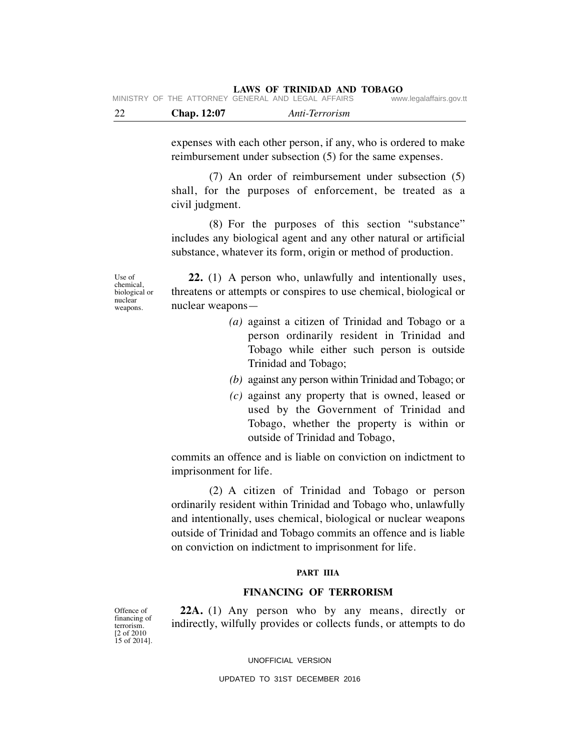| 22 | <b>Chap.</b> 12:07 | Anti-Terrorism                                     |                         |
|----|--------------------|----------------------------------------------------|-------------------------|
|    |                    | MINISTRY OF THE ATTORNEY GENERAL AND LEGAL AFFAIRS | www.legalaffairs.gov.tt |

expenses with each other person, if any, who is ordered to make reimbursement under subsection (5) for the same expenses.

(7) An order of reimbursement under subsection (5) shall, for the purposes of enforcement, be treated as a civil judgment.

(8) For the purposes of this section "substance" includes any biological agent and any other natural or artificial substance, whatever its form, origin or method of production.

Use of chemical, biological or nuclear weapons.

**22.** (1) A person who, unlawfully and intentionally uses, threatens or attempts or conspires to use chemical, biological or nuclear weapons—

- *(a)* against a citizen of Trinidad and Tobago or a person ordinarily resident in Trinidad and Tobago while either such person is outside Trinidad and Tobago;
- *(b)* against any person within Trinidad and Tobago; or
- *(c)* against any property that is owned, leased or used by the Government of Trinidad and Tobago, whether the property is within or outside of Trinidad and Tobago,

commits an offence and is liable on conviction on indictment to imprisonment for life.

(2) A citizen of Trinidad and Tobago or person ordinarily resident within Trinidad and Tobago who, unlawfully and intentionally, uses chemical, biological or nuclear weapons outside of Trinidad and Tobago commits an offence and is liable on conviction on indictment to imprisonment for life.

#### **PART IIIA**

#### **FINANCING OF TERRORISM**

Offence of financing of terrorism. [2 of 2010 15 of 2014].

**22A.** (1) Any person who by any means, directly or indirectly, wilfully provides or collects funds, or attempts to do

UNOFFICIAL VERSION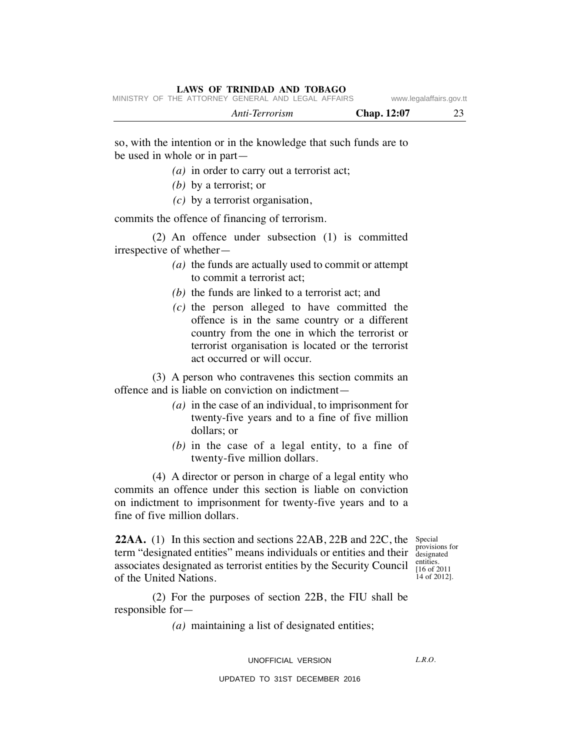|  |                                                    | Anti-Terrorism |  | Chap. 12:07 |                         |
|--|----------------------------------------------------|----------------|--|-------------|-------------------------|
|  | MINISTRY OF THE ATTORNEY GENERAL AND LEGAL AFFAIRS |                |  |             | www.legalaffairs.gov.tt |

so, with the intention or in the knowledge that such funds are to be used in whole or in part—

- *(a)* in order to carry out a terrorist act;
- *(b)* by a terrorist; or
- *(c)* by a terrorist organisation,

commits the offence of financing of terrorism.

(2) An offence under subsection (1) is committed irrespective of whether—

- *(a)* the funds are actually used to commit or attempt to commit a terrorist act;
- *(b)* the funds are linked to a terrorist act; and
- *(c)* the person alleged to have committed the offence is in the same country or a different country from the one in which the terrorist or terrorist organisation is located or the terrorist act occurred or will occur.

(3) A person who contravenes this section commits an offence and is liable on conviction on indictment—

- *(a)* in the case of an individual, to imprisonment for twenty-five years and to a fine of five million dollars; or
- *(b)* in the case of a legal entity, to a fine of twenty-five million dollars.

(4) A director or person in charge of a legal entity who commits an offence under this section is liable on conviction on indictment to imprisonment for twenty-five years and to a fine of five million dollars.

**22AA.** (1) In this section and sections 22AB, 22B and 22C, the Special term "designated entities" means individuals or entities and their provisions for associates designated as terrorist entities by the Security Council  $\frac{\text{entities}}{116 \text{ of } 2}$ of the United Nations.

designated [16 of 2011 14 of 2012].

(2) For the purposes of section 22B, the FIU shall be responsible for—

*(a)* maintaining a list of designated entities;

#### UNOFFICIAL VERSION

 $LRO$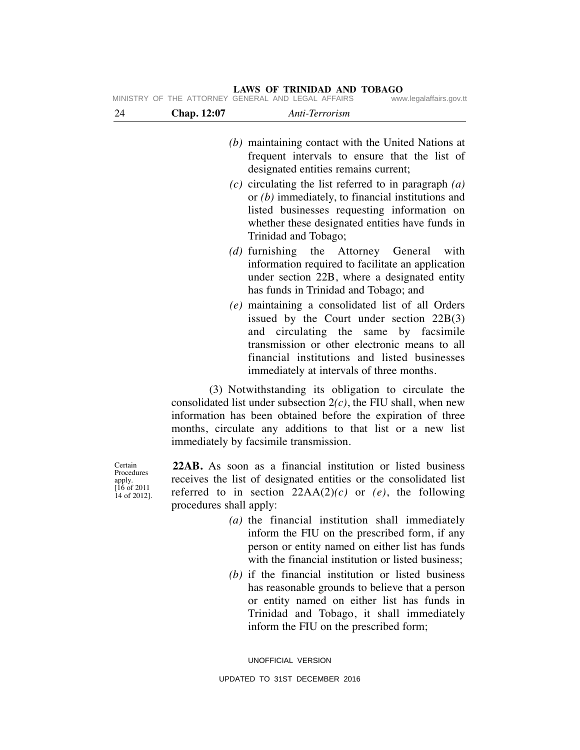| 24 | Chap. 12:07 | Anti-Terrorism                                                                                                                                                                                                                                                                         |
|----|-------------|----------------------------------------------------------------------------------------------------------------------------------------------------------------------------------------------------------------------------------------------------------------------------------------|
|    |             | (b) maintaining contact with the United Nations at<br>frequent intervals to ensure that the list of<br>designated entities remains current;                                                                                                                                            |
|    |             | $(c)$ circulating the list referred to in paragraph $(a)$<br>or $(b)$ immediately, to financial institutions and<br>listed businesses requesting information on<br>whether these designated entities have funds in<br>Trinidad and Tobago;                                             |
|    |             | (d) furnishing the Attorney General<br>with<br>information required to facilitate an application<br>under section 22B, where a designated entity<br>has funds in Trinidad and Tobago; and                                                                                              |
|    |             | (e) maintaining a consolidated list of all Orders<br>issued by the Court under section $22B(3)$<br>and circulating the same by facsimile<br>transmission or other electronic means to all<br>financial institutions and listed businesses<br>immediately at intervals of three months. |
|    |             | (3) Notwithstanding its obligation to circulate the<br>consolidated list under subsection $2(c)$ , the FIU shall, when new<br>information has been obtained before the expiration of three<br>months, circulate any additions to that list or a new list                               |

immediately by facsimile transmission.

**LAWS OF TRINIDAD AND TOBAGO** MINISTRY OF THE ATTORNEY GENERAL AND LEGAL AFFAIRS www.legalaffairs.gov.tt

> **22AB.** As soon as a financial institution or listed business receives the list of designated entities or the consolidated list referred to in section  $22AA(2)(c)$  or  $(e)$ , the following procedures shall apply:

- *(a)* the financial institution shall immediately inform the FIU on the prescribed form, if any person or entity named on either list has funds with the financial institution or listed business:
- *(b)* if the financial institution or listed business has reasonable grounds to believe that a person or entity named on either list has funds in Trinidad and Tobago, it shall immediately inform the FIU on the prescribed form;

UNOFFICIAL VERSION

Certain Procedures apply. [16 of 2011 14 of 2012].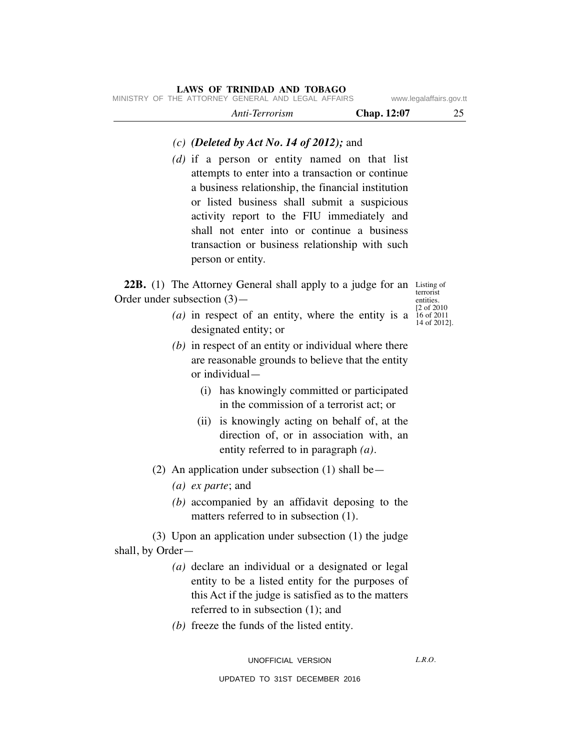# *Anti-Terrorism* **Chap. 12:07** 25 **LAWS OF TRINIDAD AND TOBAGO** MINISTRY OF THE ATTORNEY GENERAL AND LEGAL AFFAIRS www.legalaffairs.gov.tt

# *(c) (Deleted by Act No. 14 of 2012);* and

*(d)* if a person or entity named on that list attempts to enter into a transaction or continue a business relationship, the financial institution or listed business shall submit a suspicious activity report to the FIU immediately and shall not enter into or continue a business transaction or business relationship with such person or entity.

22B. (1) The Attorney General shall apply to a judge for an Listing of Order under subsection (3)—

terrorist entities. [2 of 2010 14 of 2012].

- (*a*) in respect of an entity, where the entity is a  $\frac{16}{16}$  of 2011 designated entity; or
- *(b)* in respect of an entity or individual where there are reasonable grounds to believe that the entity or individual—
	- (i) has knowingly committed or participated in the commission of a terrorist act; or
	- (ii) is knowingly acting on behalf of, at the direction of, or in association with, an entity referred to in paragraph *(a)*.
- (2) An application under subsection (1) shall be—
	- *(a) ex parte*; and
	- *(b)* accompanied by an affidavit deposing to the matters referred to in subsection (1).

(3) Upon an application under subsection (1) the judge shall, by Order—

- *(a)* declare an individual or a designated or legal entity to be a listed entity for the purposes of this Act if the judge is satisfied as to the matters referred to in subsection (1); and
- *(b)* freeze the funds of the listed entity.

 $LRO$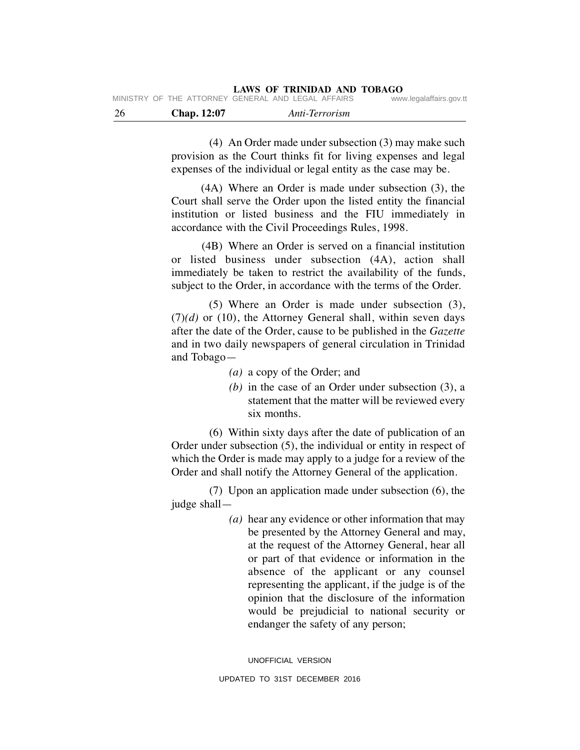| - 26 | Chap. 12:07 | Anti-Terrorism                                          |                         |
|------|-------------|---------------------------------------------------------|-------------------------|
|      |             | IVIIINIOTINT OF THE ATTONNET GENENAE AND LEGAE AFFAING. | www.icyalallallo.yuv.ll |

(4) An Order made under subsection (3) may make such provision as the Court thinks fit for living expenses and legal expenses of the individual or legal entity as the case may be.

(4A) Where an Order is made under subsection (3), the Court shall serve the Order upon the listed entity the financial institution or listed business and the FIU immediately in accordance with the Civil Proceedings Rules, 1998.

(4B) Where an Order is served on a financial institution or listed business under subsection (4A), action shall immediately be taken to restrict the availability of the funds, subject to the Order, in accordance with the terms of the Order.

(5) Where an Order is made under subsection (3),  $(7)(d)$  or  $(10)$ , the Attorney General shall, within seven days after the date of the Order, cause to be published in the *Gazette* and in two daily newspapers of general circulation in Trinidad and Tobago—

- *(a)* a copy of the Order; and
- *(b)* in the case of an Order under subsection (3), a statement that the matter will be reviewed every six months.

(6) Within sixty days after the date of publication of an Order under subsection (5), the individual or entity in respect of which the Order is made may apply to a judge for a review of the Order and shall notify the Attorney General of the application.

(7) Upon an application made under subsection (6), the judge shall—

> *(a)* hear any evidence or other information that may be presented by the Attorney General and may, at the request of the Attorney General, hear all or part of that evidence or information in the absence of the applicant or any counsel representing the applicant, if the judge is of the opinion that the disclosure of the information would be prejudicial to national security or endanger the safety of any person;

UNOFFICIAL VERSION UPDATED TO 31ST DECEMBER 2016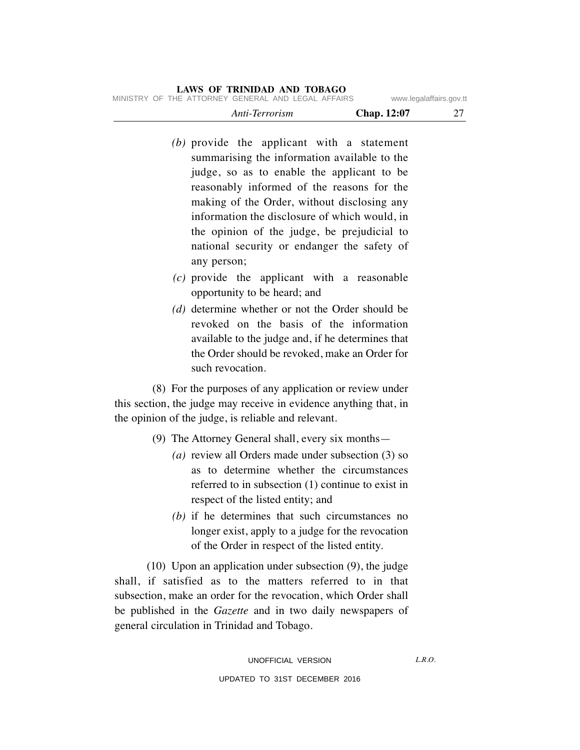- *(b)* provide the applicant with a statement summarising the information available to the judge, so as to enable the applicant to be reasonably informed of the reasons for the making of the Order, without disclosing any information the disclosure of which would, in the opinion of the judge, be prejudicial to national security or endanger the safety of any person;
- *(c)* provide the applicant with a reasonable opportunity to be heard; and
- *(d)* determine whether or not the Order should be revoked on the basis of the information available to the judge and, if he determines that the Order should be revoked, make an Order for such revocation.

(8) For the purposes of any application or review under this section, the judge may receive in evidence anything that, in the opinion of the judge, is reliable and relevant.

- (9) The Attorney General shall, every six months—
	- *(a)* review all Orders made under subsection (3) so as to determine whether the circumstances referred to in subsection (1) continue to exist in respect of the listed entity; and
	- *(b)* if he determines that such circumstances no longer exist, apply to a judge for the revocation of the Order in respect of the listed entity.

(10) Upon an application under subsection (9), the judge shall, if satisfied as to the matters referred to in that subsection, make an order for the revocation, which Order shall be published in the *Gazette* and in two daily newspapers of general circulation in Trinidad and Tobago.

 $LRO$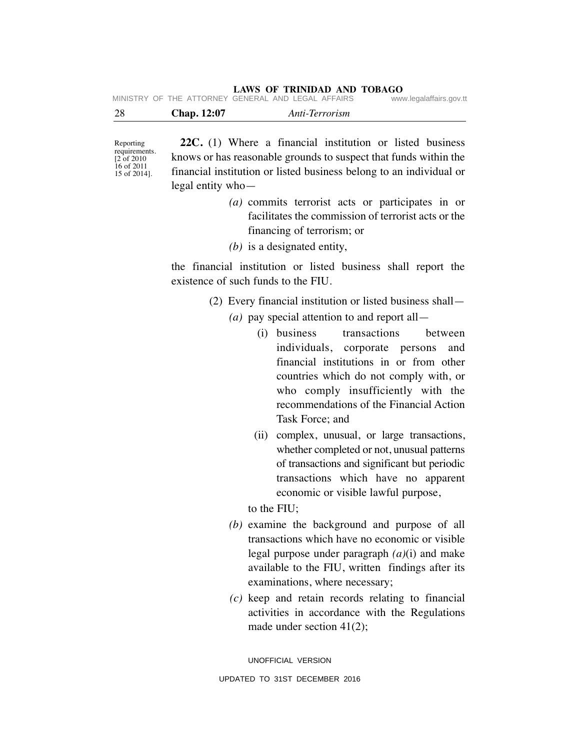| 28 | <b>Chap.</b> 12:07 | Anti-Terrorism                                     |                         |
|----|--------------------|----------------------------------------------------|-------------------------|
|    |                    | MINISTRY OF THE ATTORNEY GENERAL AND LEGAL AFFAIRS | www.legalaffairs.gov.tt |

Reporting requirements. [2 of 2010 16 of 2011 15 of 2014].

**22C.** (1) Where a financial institution or listed business knows or has reasonable grounds to suspect that funds within the financial institution or listed business belong to an individual or legal entity who—

- *(a)* commits terrorist acts or participates in or facilitates the commission of terrorist acts or the financing of terrorism; or
- *(b)* is a designated entity,

the financial institution or listed business shall report the existence of such funds to the FIU.

(2) Every financial institution or listed business shall—

- *(a)* pay special attention to and report all—
	- (i) business transactions between individuals, corporate persons and financial institutions in or from other countries which do not comply with, or who comply insufficiently with the recommendations of the Financial Action Task Force; and
	- (ii) complex, unusual, or large transactions, whether completed or not, unusual patterns of transactions and significant but periodic transactions which have no apparent economic or visible lawful purpose,

to the FIU;

- *(b)* examine the background and purpose of all transactions which have no economic or visible legal purpose under paragraph *(a)*(i) and make available to the FIU, written findings after its examinations, where necessary;
- *(c)* keep and retain records relating to financial activities in accordance with the Regulations made under section 41(2);

UNOFFICIAL VERSION UPDATED TO 31ST DECEMBER 2016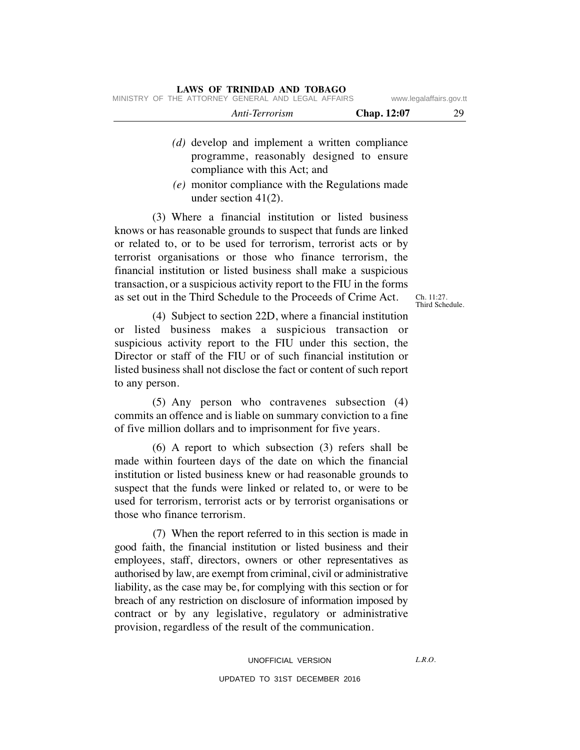|  |                | LAWS OF TRINIDAD AND TOBAGO                        |  |             |                         |
|--|----------------|----------------------------------------------------|--|-------------|-------------------------|
|  |                | MINISTRY OF THE ATTORNEY GENERAL AND LEGAL AFFAIRS |  |             | www.legalaffairs.gov.tt |
|  | Anti-Terrorism |                                                    |  | Chap. 12:07 | 29                      |

- *(d)* develop and implement a written compliance programme, reasonably designed to ensure compliance with this Act; and
- *(e)* monitor compliance with the Regulations made under section 41(2).

(3) Where a financial institution or listed business knows or has reasonable grounds to suspect that funds are linked or related to, or to be used for terrorism, terrorist acts or by terrorist organisations or those who finance terrorism, the financial institution or listed business shall make a suspicious transaction, or a suspicious activity report to the FIU in the forms as set out in the Third Schedule to the Proceeds of Crime Act.

Ch. 11:27. Third Schedule.

(4) Subject to section 22D, where a financial institution or listed business makes a suspicious transaction or suspicious activity report to the FIU under this section, the Director or staff of the FIU or of such financial institution or listed business shall not disclose the fact or content of such report to any person.

(5) Any person who contravenes subsection (4) commits an offence and is liable on summary conviction to a fine of five million dollars and to imprisonment for five years.

(6) A report to which subsection (3) refers shall be made within fourteen days of the date on which the financial institution or listed business knew or had reasonable grounds to suspect that the funds were linked or related to, or were to be used for terrorism, terrorist acts or by terrorist organisations or those who finance terrorism.

(7) When the report referred to in this section is made in good faith, the financial institution or listed business and their employees, staff, directors, owners or other representatives as authorised by law, are exempt from criminal, civil or administrative liability, as the case may be, for complying with this section or for breach of any restriction on disclosure of information imposed by contract or by any legislative, regulatory or administrative provision, regardless of the result of the communication.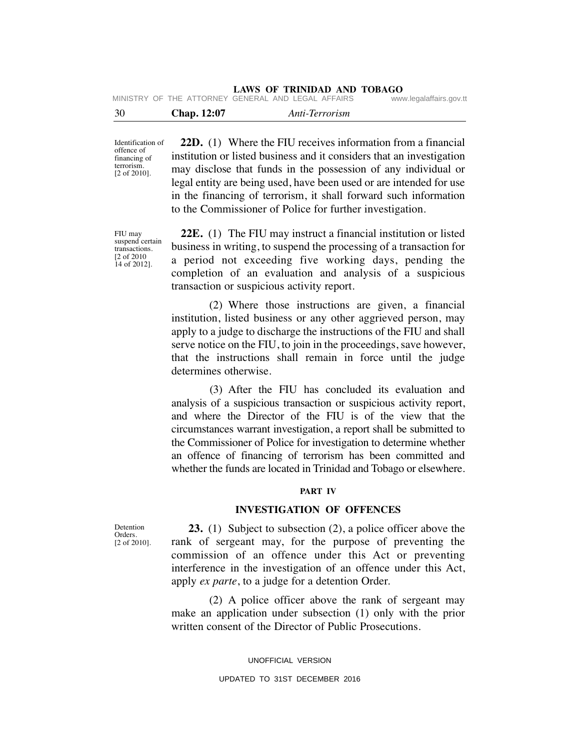| - 30 | <b>Chap.</b> 12:07 | Anti-Terrorism                                     |                         |
|------|--------------------|----------------------------------------------------|-------------------------|
|      |                    | MINISTRY OF THE ATTORNEY GENERAL AND LEGAL AFFAIRS | www.legalaffairs.gov.tt |

Identification of offence of financing of terrorism. [2 of 2010].

**22D.** (1) Where the FIU receives information from a financial institution or listed business and it considers that an investigation may disclose that funds in the possession of any individual or legal entity are being used, have been used or are intended for use in the financing of terrorism, it shall forward such information to the Commissioner of Police for further investigation.

FIU may suspend certain transactions. [2 of 2010 14 of 2012].

**22E.** (1) The FIU may instruct a financial institution or listed business in writing, to suspend the processing of a transaction for a period not exceeding five working days, pending the completion of an evaluation and analysis of a suspicious transaction or suspicious activity report.

(2) Where those instructions are given, a financial institution, listed business or any other aggrieved person, may apply to a judge to discharge the instructions of the FIU and shall serve notice on the FIU, to join in the proceedings, save however, that the instructions shall remain in force until the judge determines otherwise.

(3) After the FIU has concluded its evaluation and analysis of a suspicious transaction or suspicious activity report, and where the Director of the FIU is of the view that the circumstances warrant investigation, a report shall be submitted to the Commissioner of Police for investigation to determine whether an offence of financing of terrorism has been committed and whether the funds are located in Trinidad and Tobago or elsewhere.

#### **PART IV**

# **INVESTIGATION OF OFFENCES**

**23.** (1) Subject to subsection (2), a police officer above the rank of sergeant may, for the purpose of preventing the commission of an offence under this Act or preventing interference in the investigation of an offence under this Act, apply *ex parte*, to a judge for a detention Order.

(2) A police officer above the rank of sergeant may make an application under subsection (1) only with the prior written consent of the Director of Public Prosecutions.

> UNOFFICIAL VERSION UPDATED TO 31ST DECEMBER 2016

Detention Orders. [2 of 2010].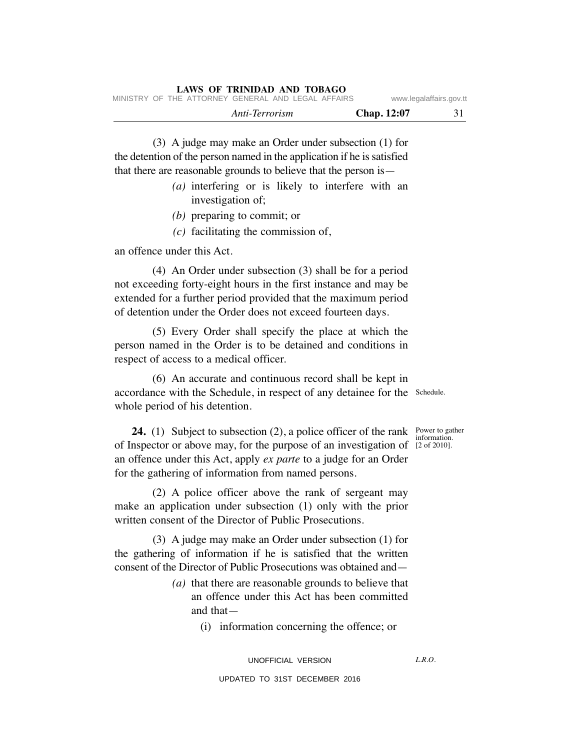(3) A judge may make an Order under subsection (1) for the detention of the person named in the application if he is satisfied that there are reasonable grounds to believe that the person is—

- *(a)* interfering or is likely to interfere with an investigation of;
- *(b)* preparing to commit; or
- *(c)* facilitating the commission of,

an offence under this Act.

(4) An Order under subsection (3) shall be for a period not exceeding forty-eight hours in the first instance and may be extended for a further period provided that the maximum period of detention under the Order does not exceed fourteen days.

(5) Every Order shall specify the place at which the person named in the Order is to be detained and conditions in respect of access to a medical officer.

(6) An accurate and continuous record shall be kept in accordance with the Schedule, in respect of any detainee for the Schedule. whole period of his detention.

**24.** (1) Subject to subsection (2), a police officer of the rank Power to gather of Inspector or above may, for the purpose of an investigation of [2 of 2010]. an offence under this Act, apply *ex parte* to a judge for an Order for the gathering of information from named persons.

(2) A police officer above the rank of sergeant may make an application under subsection (1) only with the prior written consent of the Director of Public Prosecutions.

(3) A judge may make an Order under subsection (1) for the gathering of information if he is satisfied that the written consent of the Director of Public Prosecutions was obtained and—

- *(a)* that there are reasonable grounds to believe that an offence under this Act has been committed and that—
	- (i) information concerning the offence; or

 $LRO$ 

information.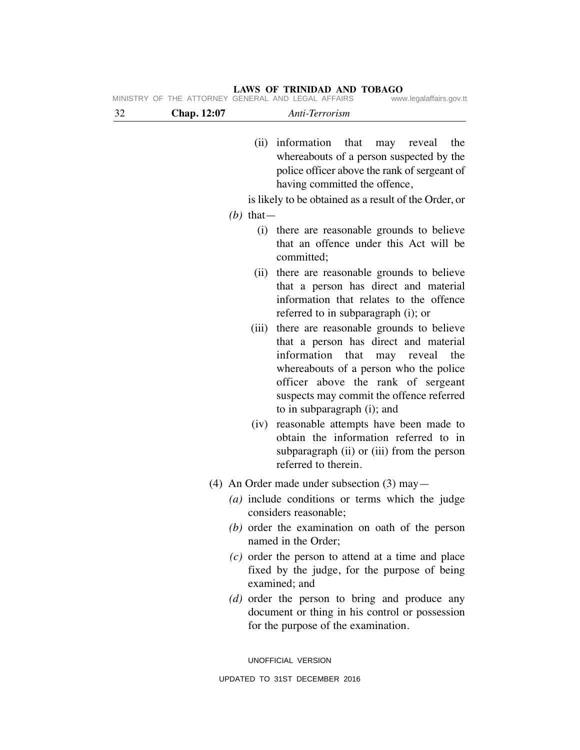| Chap. 12:07  | Anti-Terrorism                                                                                                                                                                                                                                                                          |
|--------------|-----------------------------------------------------------------------------------------------------------------------------------------------------------------------------------------------------------------------------------------------------------------------------------------|
|              | (ii) information<br>that<br>the<br>may<br>reveal<br>whereabouts of a person suspected by the<br>police officer above the rank of sergeant of<br>having committed the offence,                                                                                                           |
|              | is likely to be obtained as a result of the Order, or                                                                                                                                                                                                                                   |
| $(b)$ that — |                                                                                                                                                                                                                                                                                         |
|              | (i) there are reasonable grounds to believe<br>that an offence under this Act will be<br>committed;                                                                                                                                                                                     |
| (ii)         | there are reasonable grounds to believe<br>that a person has direct and material<br>information that relates to the offence<br>referred to in subparagraph (i); or                                                                                                                      |
| (iii)        | there are reasonable grounds to believe<br>that a person has direct and material<br>information<br>that<br>may reveal<br>the<br>whereabouts of a person who the police<br>officer above the rank of sergeant<br>suspects may commit the offence referred<br>to in subparagraph (i); and |
| (iv)         | reasonable attempts have been made to<br>obtain the information referred to in<br>subparagraph (ii) or (iii) from the person<br>referred to therein.                                                                                                                                    |
|              | (4) An Order made under subsection $(3)$ may $-$                                                                                                                                                                                                                                        |
|              | $(a)$ include conditions or terms which the judge<br>considers reasonable;                                                                                                                                                                                                              |
|              | (b) order the examination on oath of the person<br>named in the Order;                                                                                                                                                                                                                  |
|              | $(c)$ order the person to attend at a time and place<br>fixed by the judge, for the purpose of being<br>examined; and                                                                                                                                                                   |
|              | (d) order the person to bring and produce any<br>document or thing in his control or possession<br>for the purpose of the examination.                                                                                                                                                  |
|              | UNOFFICIAL VERSION                                                                                                                                                                                                                                                                      |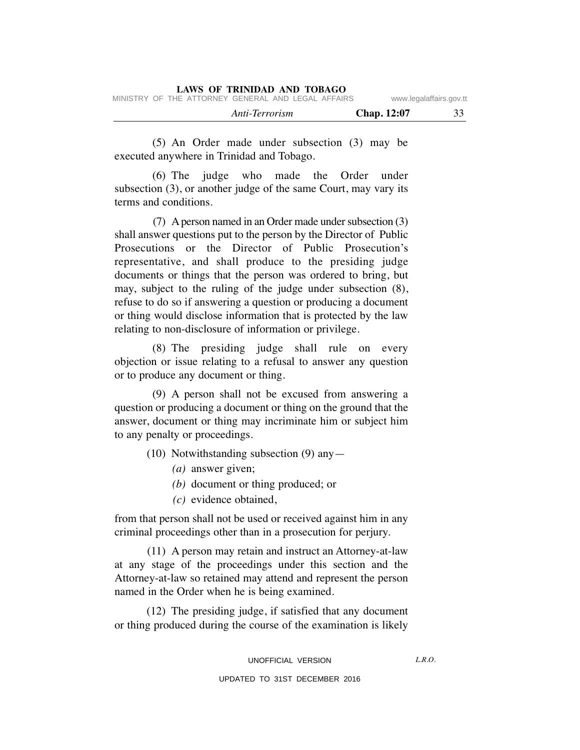|                                                    | LAWS OF TRINIDAD AND TOBAGO |                         |    |
|----------------------------------------------------|-----------------------------|-------------------------|----|
| MINISTRY OF THE ATTORNEY GENERAL AND LEGAL AFFAIRS |                             | www.legalaffairs.gov.tt |    |
|                                                    | Anti-Terrorism              | <b>Chap.</b> 12:07      | 33 |

(5) An Order made under subsection (3) may be executed anywhere in Trinidad and Tobago.

(6) The judge who made the Order under subsection (3), or another judge of the same Court, may vary its terms and conditions.

(7) A person named in an Order made under subsection (3) shall answer questions put to the person by the Director of Public Prosecutions or the Director of Public Prosecution's representative, and shall produce to the presiding judge documents or things that the person was ordered to bring, but may, subject to the ruling of the judge under subsection (8), refuse to do so if answering a question or producing a document or thing would disclose information that is protected by the law relating to non-disclosure of information or privilege.

(8) The presiding judge shall rule on every objection or issue relating to a refusal to answer any question or to produce any document or thing.

(9) A person shall not be excused from answering a question or producing a document or thing on the ground that the answer, document or thing may incriminate him or subject him to any penalty or proceedings.

- (10) Notwithstanding subsection (9) any—
	- *(a)* answer given;
	- *(b)* document or thing produced; or
	- *(c)* evidence obtained,

from that person shall not be used or received against him in any criminal proceedings other than in a prosecution for perjury.

(11) A person may retain and instruct an Attorney-at-law at any stage of the proceedings under this section and the Attorney-at-law so retained may attend and represent the person named in the Order when he is being examined.

(12) The presiding judge, if satisfied that any document or thing produced during the course of the examination is likely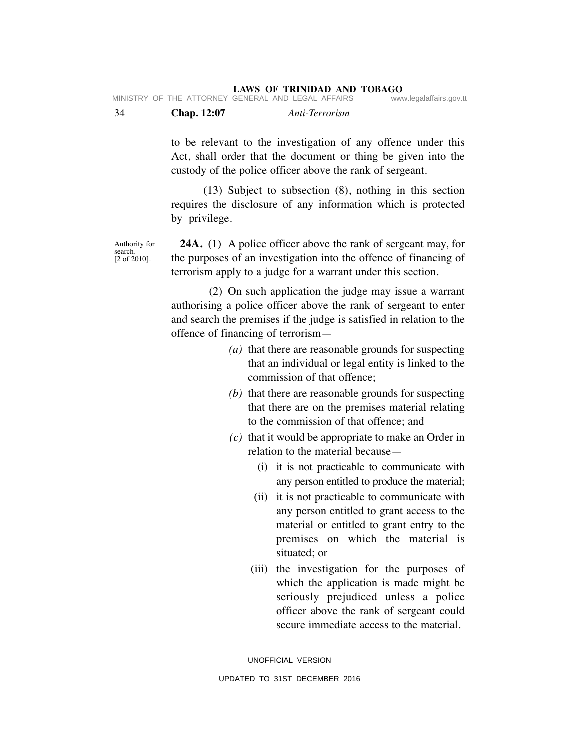| - 34 | <b>Chap.</b> 12:07 | Anti-Terrorism                                     |                         |
|------|--------------------|----------------------------------------------------|-------------------------|
|      |                    | MINISTRY OF THE ATTORNEY GENERAL AND LEGAL AFFAIRS | www.legalaffairs.gov.tt |

to be relevant to the investigation of any offence under this Act, shall order that the document or thing be given into the custody of the police officer above the rank of sergeant.

(13) Subject to subsection (8), nothing in this section requires the disclosure of any information which is protected by privilege.

search. [2 of 2010].

**24A.** (1) A police officer above the rank of sergeant may, for the purposes of an investigation into the offence of financing of terrorism apply to a judge for a warrant under this section.

(2) On such application the judge may issue a warrant authorising a police officer above the rank of sergeant to enter and search the premises if the judge is satisfied in relation to the offence of financing of terrorism—

- *(a)* that there are reasonable grounds for suspecting that an individual or legal entity is linked to the commission of that offence;
- *(b)* that there are reasonable grounds for suspecting that there are on the premises material relating to the commission of that offence; and
- *(c)* that it would be appropriate to make an Order in relation to the material because—
	- (i) it is not practicable to communicate with any person entitled to produce the material;
	- (ii) it is not practicable to communicate with any person entitled to grant access to the material or entitled to grant entry to the premises on which the material is situated; or
	- (iii) the investigation for the purposes of which the application is made might be seriously prejudiced unless a police officer above the rank of sergeant could secure immediate access to the material.

UNOFFICIAL VERSION UPDATED TO 31ST DECEMBER 2016

Authority for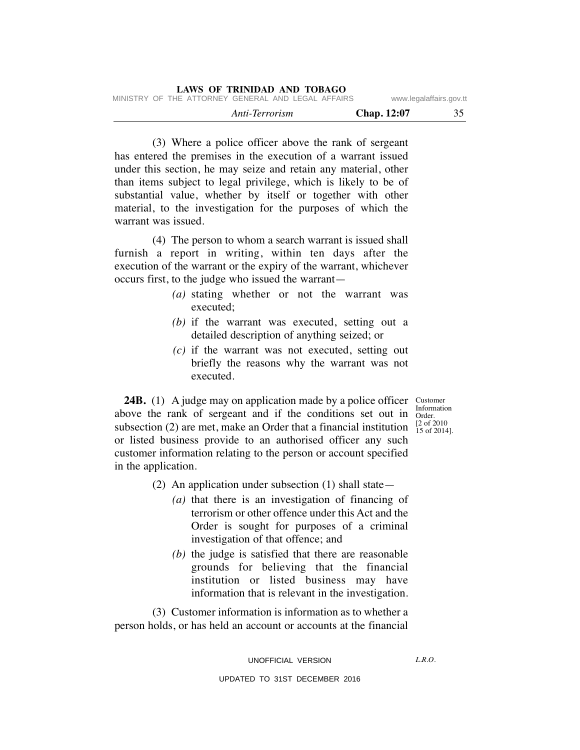| LAWS OF TRINIDAD AND TOBAGO                        |                         |    |
|----------------------------------------------------|-------------------------|----|
| MINISTRY OF THE ATTORNEY GENERAL AND LEGAL AFFAIRS | www.legalaffairs.gov.tt |    |
| Anti-Terrorism                                     | <b>Chap.</b> 12:07      | 35 |

(3) Where a police officer above the rank of sergeant has entered the premises in the execution of a warrant issued under this section, he may seize and retain any material, other than items subject to legal privilege, which is likely to be of substantial value, whether by itself or together with other material, to the investigation for the purposes of which the warrant was issued.

(4) The person to whom a search warrant is issued shall furnish a report in writing, within ten days after the execution of the warrant or the expiry of the warrant, whichever occurs first, to the judge who issued the warrant—

- *(a)* stating whether or not the warrant was executed;
- *(b)* if the warrant was executed, setting out a detailed description of anything seized; or
- *(c)* if the warrant was not executed, setting out briefly the reasons why the warrant was not executed.

**24B.** (1) A judge may on application made by a police officer above the rank of sergeant and if the conditions set out in subsection (2) are met, make an Order that a financial institution or listed business provide to an authorised officer any such customer information relating to the person or account specified in the application.

- (2) An application under subsection (1) shall state—
	- *(a)* that there is an investigation of financing of terrorism or other offence under this Act and the Order is sought for purposes of a criminal investigation of that offence; and
	- *(b)* the judge is satisfied that there are reasonable grounds for believing that the financial institution or listed business may have information that is relevant in the investigation.

(3) Customer information is information as to whether a person holds, or has held an account or accounts at the financial

UNOFFICIAL VERSION

Customer Information Order. [2 of 2010 15 of 2014].

 $LRO$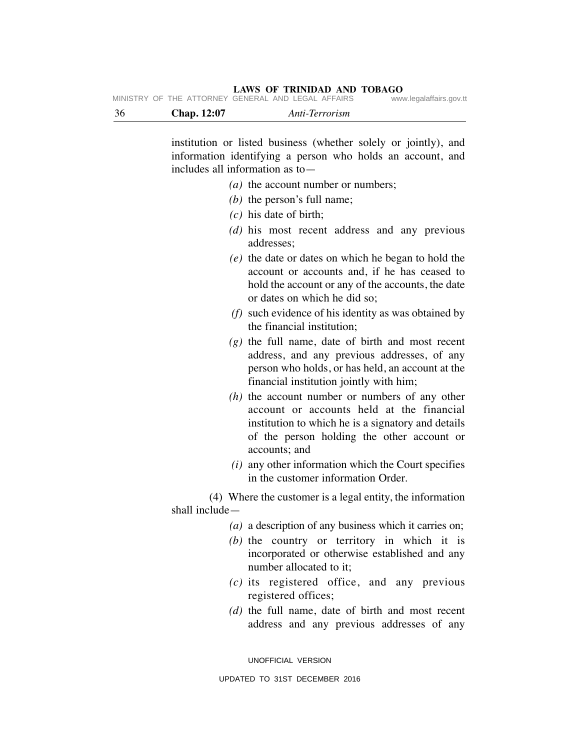| - 36 | <b>Chap.</b> 12:07 | Anti-Terrorism                                     |                         |
|------|--------------------|----------------------------------------------------|-------------------------|
|      |                    | MINISTRY OF THE ATTORNEY GENERAL AND LEGAL AFFAIRS | www.legalaffairs.gov.tt |

institution or listed business (whether solely or jointly), and information identifying a person who holds an account, and includes all information as to—

- *(a)* the account number or numbers;
	- *(b)* the person's full name;
	- *(c)* his date of birth;
	- *(d)* his most recent address and any previous addresses;
	- *(e)* the date or dates on which he began to hold the account or accounts and, if he has ceased to hold the account or any of the accounts, the date or dates on which he did so;
	- *(f)* such evidence of his identity as was obtained by the financial institution;
	- *(g)* the full name, date of birth and most recent address, and any previous addresses, of any person who holds, or has held, an account at the financial institution jointly with him;
	- *(h)* the account number or numbers of any other account or accounts held at the financial institution to which he is a signatory and details of the person holding the other account or accounts; and
	- *(i)* any other information which the Court specifies in the customer information Order.

(4) Where the customer is a legal entity, the information shall include—

- *(a)* a description of any business which it carries on;
- *(b)* the country or territory in which it is incorporated or otherwise established and any number allocated to it;
- *(c)* its registered office, and any previous registered offices;
- *(d)* the full name, date of birth and most recent address and any previous addresses of any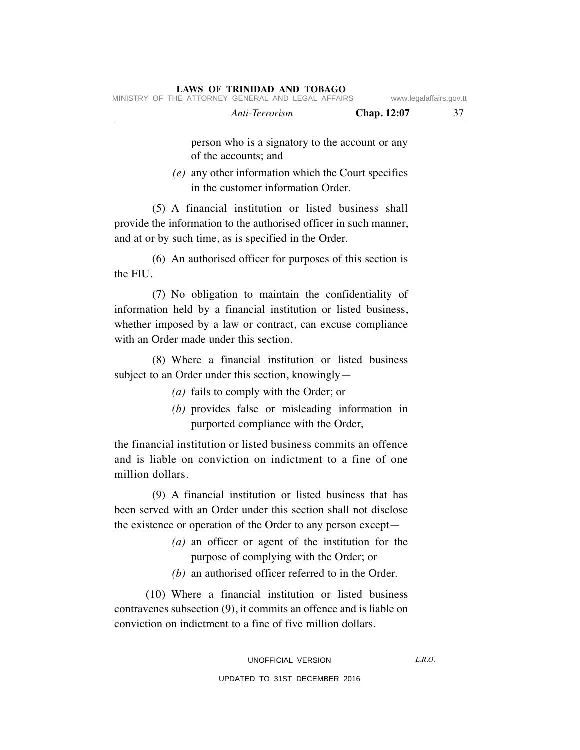person who is a signatory to the account or any of the accounts; and

*(e)* any other information which the Court specifies in the customer information Order.

(5) A financial institution or listed business shall provide the information to the authorised officer in such manner, and at or by such time, as is specified in the Order.

(6) An authorised officer for purposes of this section is the FIU.

(7) No obligation to maintain the confidentiality of information held by a financial institution or listed business, whether imposed by a law or contract, can excuse compliance with an Order made under this section.

(8) Where a financial institution or listed business subject to an Order under this section, knowingly—

- *(a)* fails to comply with the Order; or
- *(b)* provides false or misleading information in purported compliance with the Order,

the financial institution or listed business commits an offence and is liable on conviction on indictment to a fine of one million dollars.

(9) A financial institution or listed business that has been served with an Order under this section shall not disclose the existence or operation of the Order to any person except—

- *(a)* an officer or agent of the institution for the purpose of complying with the Order; or
- *(b)* an authorised officer referred to in the Order.

(10) Where a financial institution or listed business contravenes subsection (9), it commits an offence and is liable on conviction on indictment to a fine of five million dollars.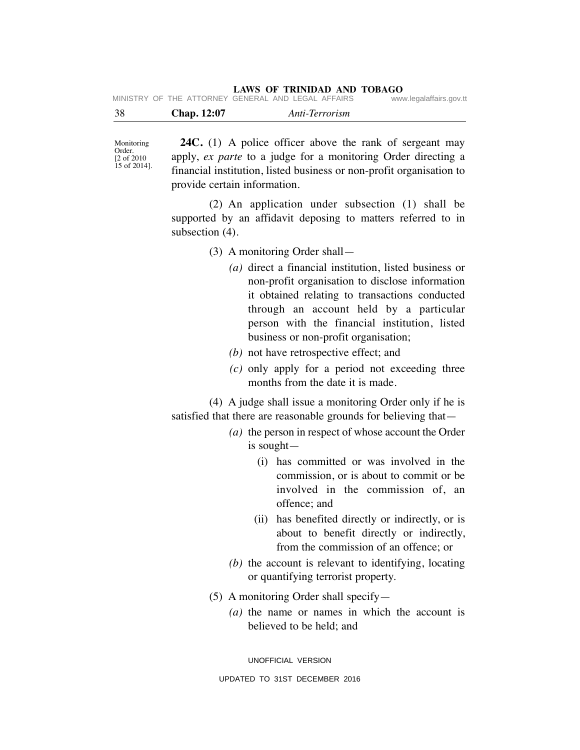| -38 | Chap. 12:07 | Anti-Terrorism                                     |                         |
|-----|-------------|----------------------------------------------------|-------------------------|
|     |             | MINISTRY OF THE ATTORNEY GENERAL AND LEGAL AFFAIRS | www.legalaffairs.gov.tt |

Monitoring Order. [2 of 2010 15 of 2014].

**24C.** (1) A police officer above the rank of sergeant may apply, *ex parte* to a judge for a monitoring Order directing a financial institution, listed business or non-profit organisation to provide certain information.

(2) An application under subsection (1) shall be supported by an affidavit deposing to matters referred to in subsection (4).

(3) A monitoring Order shall—

- *(a)* direct a financial institution, listed business or non-profit organisation to disclose information it obtained relating to transactions conducted through an account held by a particular person with the financial institution, listed business or non-profit organisation;
- *(b)* not have retrospective effect; and
- *(c)* only apply for a period not exceeding three months from the date it is made.

(4) A judge shall issue a monitoring Order only if he is satisfied that there are reasonable grounds for believing that—

- *(a)* the person in respect of whose account the Order is sought—
	- (i) has committed or was involved in the commission, or is about to commit or be involved in the commission of, an offence; and
	- (ii) has benefited directly or indirectly, or is about to benefit directly or indirectly, from the commission of an offence; or
- *(b)* the account is relevant to identifying, locating or quantifying terrorist property.
- (5) A monitoring Order shall specify—
	- *(a)* the name or names in which the account is believed to be held; and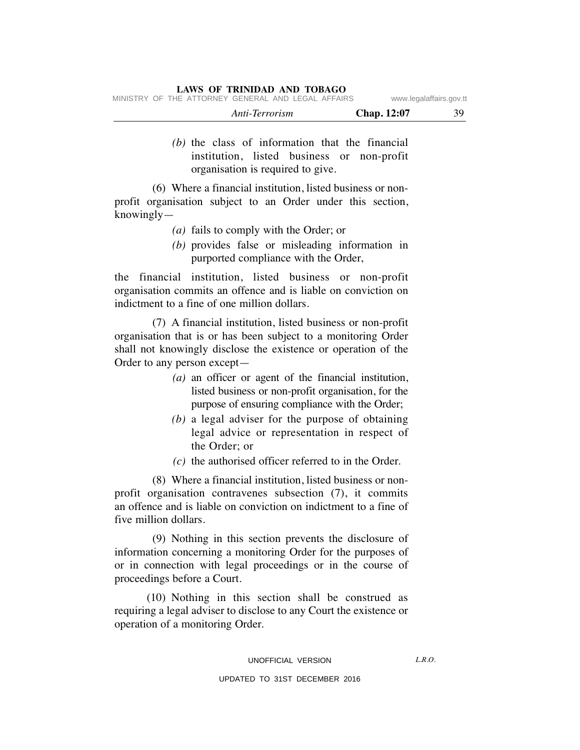|  |                                                    | Anti-Terrorism |  | <b>Chap.</b> 12:07 | 39                      |
|--|----------------------------------------------------|----------------|--|--------------------|-------------------------|
|  | MINISTRY OF THE ATTORNEY GENERAL AND LEGAL AFFAIRS |                |  |                    | www.legalaffairs.gov.tt |

*(b)* the class of information that the financial institution, listed business or non-profit organisation is required to give.

(6) Where a financial institution, listed business or nonprofit organisation subject to an Order under this section, knowingly—

- *(a)* fails to comply with the Order; or
- *(b)* provides false or misleading information in purported compliance with the Order,

the financial institution, listed business or non-profit organisation commits an offence and is liable on conviction on indictment to a fine of one million dollars.

(7) A financial institution, listed business or non-profit organisation that is or has been subject to a monitoring Order shall not knowingly disclose the existence or operation of the Order to any person except—

- *(a)* an officer or agent of the financial institution, listed business or non-profit organisation, for the purpose of ensuring compliance with the Order;
- *(b)* a legal adviser for the purpose of obtaining legal advice or representation in respect of the Order; or
- *(c)* the authorised officer referred to in the Order.

(8) Where a financial institution, listed business or nonprofit organisation contravenes subsection (7), it commits an offence and is liable on conviction on indictment to a fine of five million dollars.

(9) Nothing in this section prevents the disclosure of information concerning a monitoring Order for the purposes of or in connection with legal proceedings or in the course of proceedings before a Court.

(10) Nothing in this section shall be construed as requiring a legal adviser to disclose to any Court the existence or operation of a monitoring Order.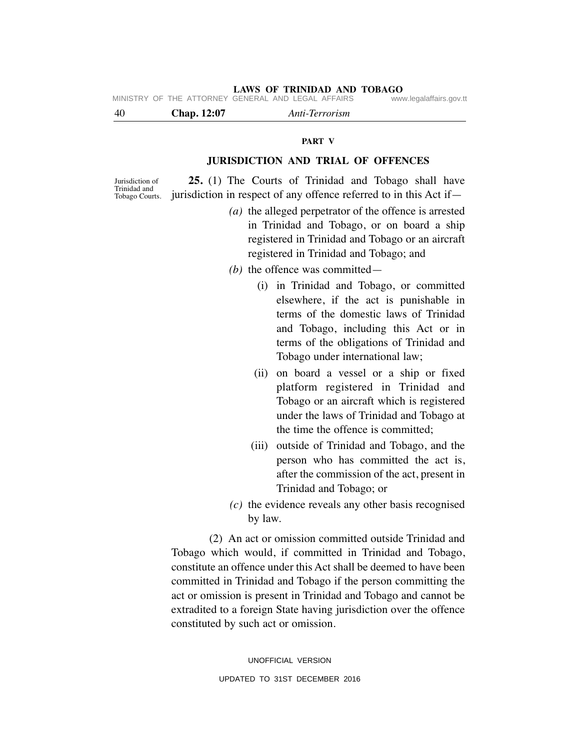MINISTRY OF THE ATTORNEY GENERAL AND LEGAL AFFAIRS

| <b>Chap.</b> 12:07<br>-40 | Anti-Terrorism |  |
|---------------------------|----------------|--|
|---------------------------|----------------|--|

### **PART V**

# **JURISDICTION AND TRIAL OF OFFENCES**

Jurisdiction of Trinidad and Tobago Courts.

**25.** (1) The Courts of Trinidad and Tobago shall have jurisdiction in respect of any offence referred to in this Act if—

- *(a)* the alleged perpetrator of the offence is arrested in Trinidad and Tobago, or on board a ship registered in Trinidad and Tobago or an aircraft registered in Trinidad and Tobago; and
- *(b)* the offence was committed—
	- (i) in Trinidad and Tobago, or committed elsewhere, if the act is punishable in terms of the domestic laws of Trinidad and Tobago, including this Act or in terms of the obligations of Trinidad and Tobago under international law;
	- (ii) on board a vessel or a ship or fixed platform registered in Trinidad and Tobago or an aircraft which is registered under the laws of Trinidad and Tobago at the time the offence is committed;
	- (iii) outside of Trinidad and Tobago, and the person who has committed the act is, after the commission of the act, present in Trinidad and Tobago; or
- *(c)* the evidence reveals any other basis recognised by law.

(2) An act or omission committed outside Trinidad and Tobago which would, if committed in Trinidad and Tobago, constitute an offence under this Act shall be deemed to have been committed in Trinidad and Tobago if the person committing the act or omission is present in Trinidad and Tobago and cannot be extradited to a foreign State having jurisdiction over the offence constituted by such act or omission.

> UNOFFICIAL VERSION UPDATED TO 31ST DECEMBER 2016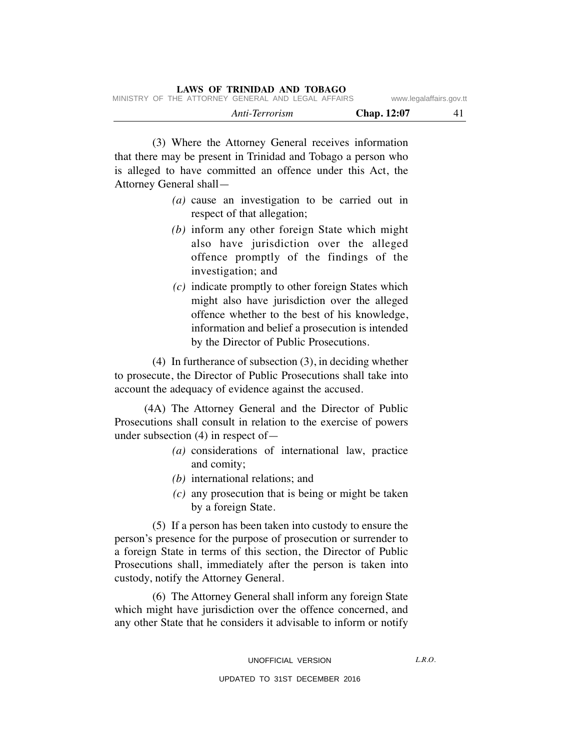(3) Where the Attorney General receives information that there may be present in Trinidad and Tobago a person who is alleged to have committed an offence under this Act, the Attorney General shall—

- *(a)* cause an investigation to be carried out in respect of that allegation;
- *(b)* inform any other foreign State which might also have jurisdiction over the alleged offence promptly of the findings of the investigation; and
- *(c)* indicate promptly to other foreign States which might also have jurisdiction over the alleged offence whether to the best of his knowledge, information and belief a prosecution is intended by the Director of Public Prosecutions.

(4) In furtherance of subsection (3), in deciding whether to prosecute, the Director of Public Prosecutions shall take into account the adequacy of evidence against the accused.

(4A) The Attorney General and the Director of Public Prosecutions shall consult in relation to the exercise of powers under subsection (4) in respect of—

- *(a)* considerations of international law, practice and comity;
- *(b)* international relations; and
- *(c)* any prosecution that is being or might be taken by a foreign State.

(5) If a person has been taken into custody to ensure the person's presence for the purpose of prosecution or surrender to a foreign State in terms of this section, the Director of Public Prosecutions shall, immediately after the person is taken into custody, notify the Attorney General.

(6) The Attorney General shall inform any foreign State which might have jurisdiction over the offence concerned, and any other State that he considers it advisable to inform or notify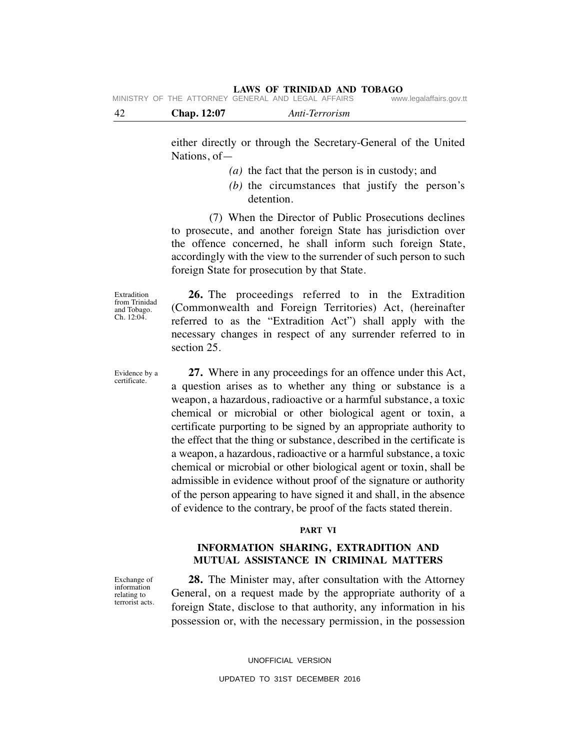| -42 | Chap. 12:07 | Anti-Terrorism                                     |                         |
|-----|-------------|----------------------------------------------------|-------------------------|
|     |             | MINISTRY OF THE ATTORNEY GENERAL AND LEGAL AFFAIRS | www.legalaffairs.gov.tt |

either directly or through the Secretary-General of the United Nations, of—

- *(a)* the fact that the person is in custody; and
- *(b)* the circumstances that justify the person's detention.

(7) When the Director of Public Prosecutions declines to prosecute, and another foreign State has jurisdiction over the offence concerned, he shall inform such foreign State, accordingly with the view to the surrender of such person to such foreign State for prosecution by that State.

Extradition from Trinidad and Tobago. Ch. 12:04.

Evidence by a certificate.

**26.** The proceedings referred to in the Extradition (Commonwealth and Foreign Territories) Act, (hereinafter referred to as the "Extradition Act") shall apply with the necessary changes in respect of any surrender referred to in section 25.

**27.** Where in any proceedings for an offence under this Act, a question arises as to whether any thing or substance is a weapon, a hazardous, radioactive or a harmful substance, a toxic chemical or microbial or other biological agent or toxin, a certificate purporting to be signed by an appropriate authority to the effect that the thing or substance, described in the certificate is a weapon, a hazardous, radioactive or a harmful substance, a toxic chemical or microbial or other biological agent or toxin, shall be admissible in evidence without proof of the signature or authority of the person appearing to have signed it and shall, in the absence of evidence to the contrary, be proof of the facts stated therein.

#### **PART VI**

# **INFORMATION SHARING, EXTRADITION AND MUTUAL ASSISTANCE IN CRIMINAL MATTERS**

Exchange of information relating to terrorist acts.

**28.** The Minister may, after consultation with the Attorney General, on a request made by the appropriate authority of a foreign State, disclose to that authority, any information in his possession or, with the necessary permission, in the possession

> UNOFFICIAL VERSION UPDATED TO 31ST DECEMBER 2016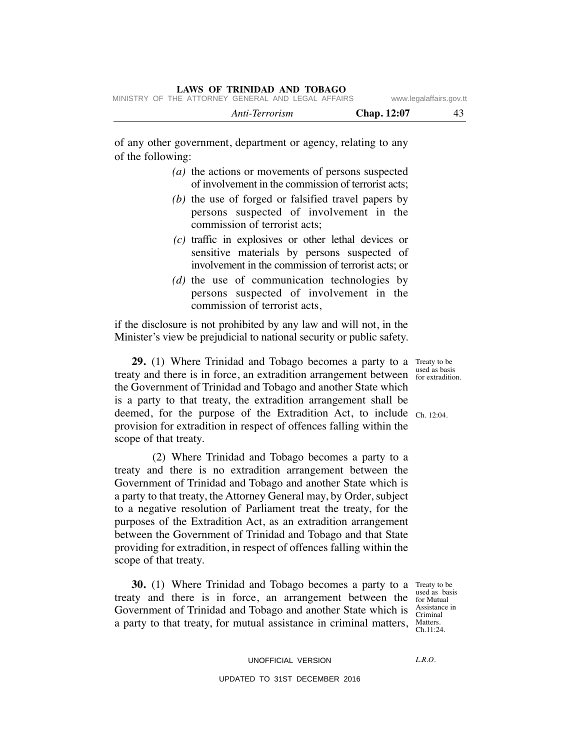|  |                                                    | Anti-Terrorism |  | <b>Chap.</b> 12:07 |                         |
|--|----------------------------------------------------|----------------|--|--------------------|-------------------------|
|  | MINISTRY OF THE ATTORNEY GENERAL AND LEGAL AFFAIRS |                |  |                    | www.legalaffairs.gov.tt |

of any other government, department or agency, relating to any of the following:

- *(a)* the actions or movements of persons suspected of involvement in the commission of terrorist acts;
- *(b)* the use of forged or falsified travel papers by persons suspected of involvement in the commission of terrorist acts;
- *(c)* traffic in explosives or other lethal devices or sensitive materials by persons suspected of involvement in the commission of terrorist acts; or
- *(d)* the use of communication technologies by persons suspected of involvement in the commission of terrorist acts,

if the disclosure is not prohibited by any law and will not, in the Minister's view be prejudicial to national security or public safety.

**29.** (1) Where Trinidad and Tobago becomes a party to a Treaty to be treaty and there is in force, an extradition arrangement between the stradition the Government of Trinidad and Tobago and another State which is a party to that treaty, the extradition arrangement shall be deemed, for the purpose of the Extradition Act, to include  $_{Ch. 12:04.}$ provision for extradition in respect of offences falling within the scope of that treaty.

(2) Where Trinidad and Tobago becomes a party to a treaty and there is no extradition arrangement between the Government of Trinidad and Tobago and another State which is a party to that treaty, the Attorney General may, by Order, subject to a negative resolution of Parliament treat the treaty, for the purposes of the Extradition Act, as an extradition arrangement between the Government of Trinidad and Tobago and that State providing for extradition, in respect of offences falling within the scope of that treaty.

**30.** (1) Where Trinidad and Tobago becomes a party to a Treaty to be treaty and there is in force, an arrangement between the  $_{\text{for Mutual}}^{\text{used as bad}}$ Government of Trinidad and Tobago and another State which is  $\frac{\text{Assistance in}}{\text{Criminal}}$ a party to that treaty, for mutual assistance in criminal matters, Matters.

used as basis Criminal Ch.11:24.

for extradition.

UNOFFICIAL VERSION

 $LRO$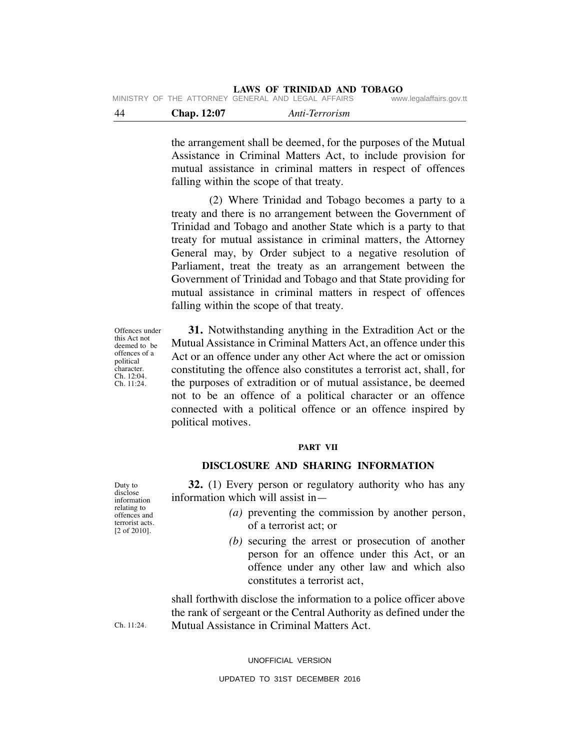**LAWS OF TRINIDAD AND TOBAGO** MINISTRY OF THE ATTORNEY GENERAL AND LEGAL AFFAIRS www.legalaffairs.gov.tt

| -44 | <b>Chap.</b> 12:07 | Anti-Terrorism                                        |                         |
|-----|--------------------|-------------------------------------------------------|-------------------------|
|     |                    | IVIIINIOIRI UFIIRE AITURNEI GENERAL AND LEGAL AFFAIRO | www.iegalalialis.gov.tt |

the arrangement shall be deemed, for the purposes of the Mutual Assistance in Criminal Matters Act, to include provision for mutual assistance in criminal matters in respect of offences falling within the scope of that treaty.

(2) Where Trinidad and Tobago becomes a party to a treaty and there is no arrangement between the Government of Trinidad and Tobago and another State which is a party to that treaty for mutual assistance in criminal matters, the Attorney General may, by Order subject to a negative resolution of Parliament, treat the treaty as an arrangement between the Government of Trinidad and Tobago and that State providing for mutual assistance in criminal matters in respect of offences falling within the scope of that treaty.

**31.** Notwithstanding anything in the Extradition Act or the Mutual Assistance in Criminal Matters Act, an offence under this Act or an offence under any other Act where the act or omission constituting the offence also constitutes a terrorist act, shall, for the purposes of extradition or of mutual assistance, be deemed not to be an offence of a political character or an offence connected with a political offence or an offence inspired by political motives.

#### **PART VII**

# **DISCLOSURE AND SHARING INFORMATION**

**32.** (1) Every person or regulatory authority who has any information which will assist in—

- *(a)* preventing the commission by another person, of a terrorist act; or
- *(b)* securing the arrest or prosecution of another person for an offence under this Act, or an offence under any other law and which also constitutes a terrorist act,

shall forthwith disclose the information to a police officer above the rank of sergeant or the Central Authority as defined under the Mutual Assistance in Criminal Matters Act.

UNOFFICIAL VERSION

Offences under this Act not deemed to be offences of a political character. Ch. 12:04. Ch. 11:24.

Ch. 11:24.

Duty to disclose information relating to offences and terrorist acts. [2 of 2010].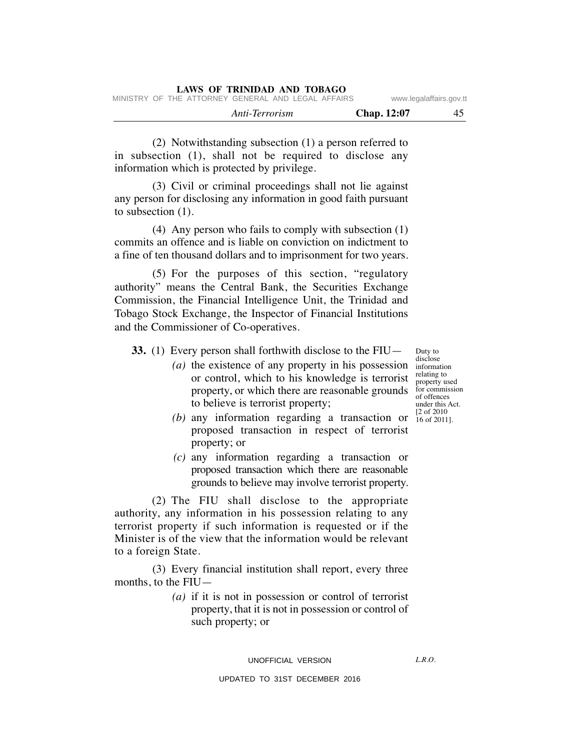(2) Notwithstanding subsection (1) a person referred to in subsection (1), shall not be required to disclose any information which is protected by privilege.

(3) Civil or criminal proceedings shall not lie against any person for disclosing any information in good faith pursuant to subsection (1).

(4) Any person who fails to comply with subsection (1) commits an offence and is liable on conviction on indictment to a fine of ten thousand dollars and to imprisonment for two years.

(5) For the purposes of this section, "regulatory authority" means the Central Bank, the Securities Exchange Commission, the Financial Intelligence Unit, the Trinidad and Tobago Stock Exchange, the Inspector of Financial Institutions and the Commissioner of Co-operatives.

**33.** (1) Every person shall forthwith disclose to the FIU—

- *(a)* the existence of any property in his possession or control, which to his knowledge is terrorist property, or which there are reasonable grounds to believe is terrorist property;
- (b) any information regarding a transaction or  $\frac{[2 \text{ of } 2010]}{16 \text{ of } 2011}$ proposed transaction in respect of terrorist property; or
- *(c)* any information regarding a transaction or proposed transaction which there are reasonable grounds to believe may involve terrorist property.

(2) The FIU shall disclose to the appropriate authority, any information in his possession relating to any terrorist property if such information is requested or if the Minister is of the view that the information would be relevant to a foreign State.

(3) Every financial institution shall report, every three months, to the FIU—

> *(a)* if it is not in possession or control of terrorist property, that it is not in possession or control of such property; or

UPDATED TO 31ST DECEMBER 2016

Duty to disclose information relating to property used for commission of offences under this Act. 16 of 2011].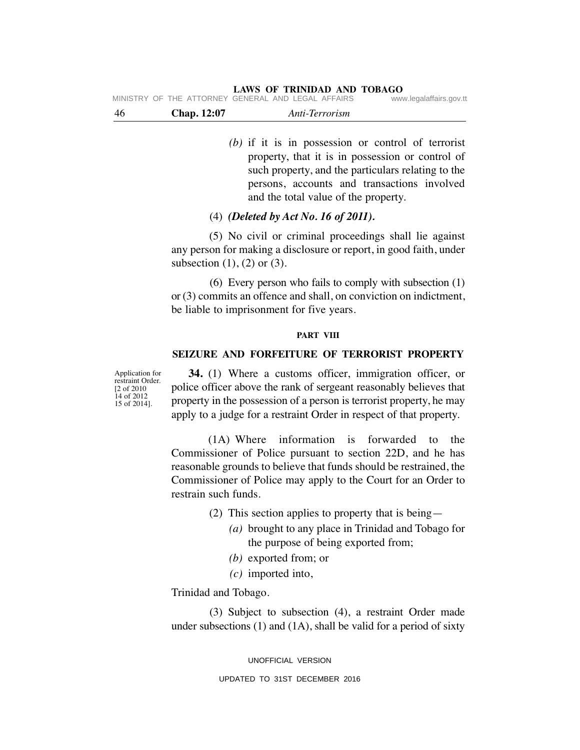| -46 | <b>Chap.</b> 12:07 | Anti-Terrorism                                     |                         |
|-----|--------------------|----------------------------------------------------|-------------------------|
|     |                    | MINISTRY OF THE ATTORNEY GENERAL AND LEGAL AFFAIRS | www.legalaffairs.gov.tt |

*(b)* if it is in possession or control of terrorist property, that it is in possession or control of such property, and the particulars relating to the persons, accounts and transactions involved and the total value of the property.

# (4) *(Deleted by Act No. 16 of 2011).*

(5) No civil or criminal proceedings shall lie against any person for making a disclosure or report, in good faith, under subsection  $(1)$ ,  $(2)$  or  $(3)$ .

(6) Every person who fails to comply with subsection (1) or (3) commits an offence and shall, on conviction on indictment, be liable to imprisonment for five years.

#### **PART VIII**

# **SEIZURE AND FORFEITURE OF TERRORIST PROPERTY**

Application for restraint Order. [2 of 2010 14 of 2012 15 of 2014].

**34.** (1) Where a customs officer, immigration officer, or police officer above the rank of sergeant reasonably believes that property in the possession of a person is terrorist property, he may apply to a judge for a restraint Order in respect of that property.

(1A) Where information is forwarded to the Commissioner of Police pursuant to section 22D, and he has reasonable grounds to believe that funds should be restrained, the Commissioner of Police may apply to the Court for an Order to restrain such funds.

- (2) This section applies to property that is being—
	- *(a)* brought to any place in Trinidad and Tobago for the purpose of being exported from;
	- *(b)* exported from; or
	- *(c)* imported into,

Trinidad and Tobago.

(3) Subject to subsection (4), a restraint Order made under subsections  $(1)$  and  $(1A)$ , shall be valid for a period of sixty

> UNOFFICIAL VERSION UPDATED TO 31ST DECEMBER 2016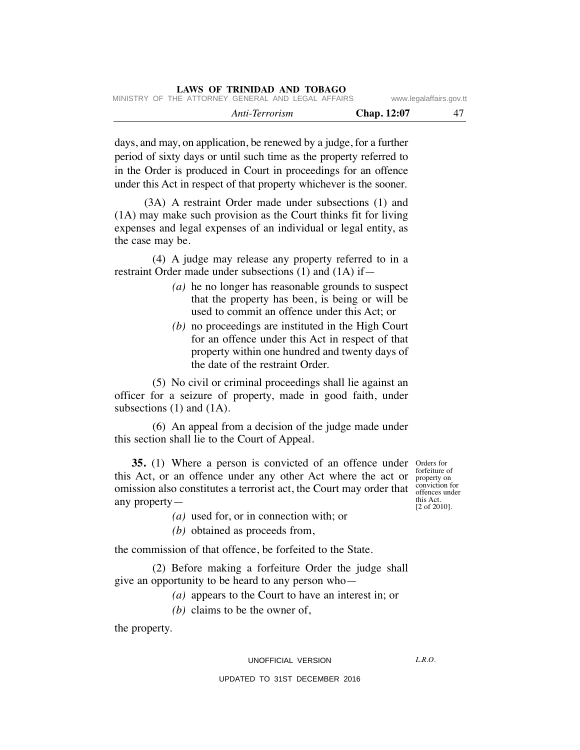| LAWS OF ININIDAD AND TODAGO                        |             |                         |
|----------------------------------------------------|-------------|-------------------------|
| MINISTRY OF THE ATTORNEY GENERAL AND LEGAL AFFAIRS |             | www.legalaffairs.gov.tt |
| Anti-Terrorism                                     | Chap. 12:07 | 47                      |

days, and may, on application, be renewed by a judge, for a further period of sixty days or until such time as the property referred to in the Order is produced in Court in proceedings for an offence under this Act in respect of that property whichever is the sooner.

**LAWS OF TRINIDAD AND TOBAGO**

(3A) A restraint Order made under subsections (1) and (1A) may make such provision as the Court thinks fit for living expenses and legal expenses of an individual or legal entity, as the case may be.

(4) A judge may release any property referred to in a restraint Order made under subsections (1) and (1A) if—

- *(a)* he no longer has reasonable grounds to suspect that the property has been, is being or will be used to commit an offence under this Act; or
- *(b)* no proceedings are instituted in the High Court for an offence under this Act in respect of that property within one hundred and twenty days of the date of the restraint Order.

(5) No civil or criminal proceedings shall lie against an officer for a seizure of property, made in good faith, under subsections  $(1)$  and  $(1A)$ .

(6) An appeal from a decision of the judge made under this section shall lie to the Court of Appeal.

**35.** (1) Where a person is convicted of an offence under orders for this Act, or an offence under any other Act where the act or omission also constitutes a terrorist act, the Court may order that conviction for any property—

*(a)* used for, or in connection with; or

*(b)* obtained as proceeds from,

the commission of that offence, be forfeited to the State.

(2) Before making a forfeiture Order the judge shall give an opportunity to be heard to any person who—

*(a)* appears to the Court to have an interest in; or

*(b)* claims to be the owner of,

the property.

UNOFFICIAL VERSION

forfeiture of property on this Act. [2 of 2010].

 $LRO$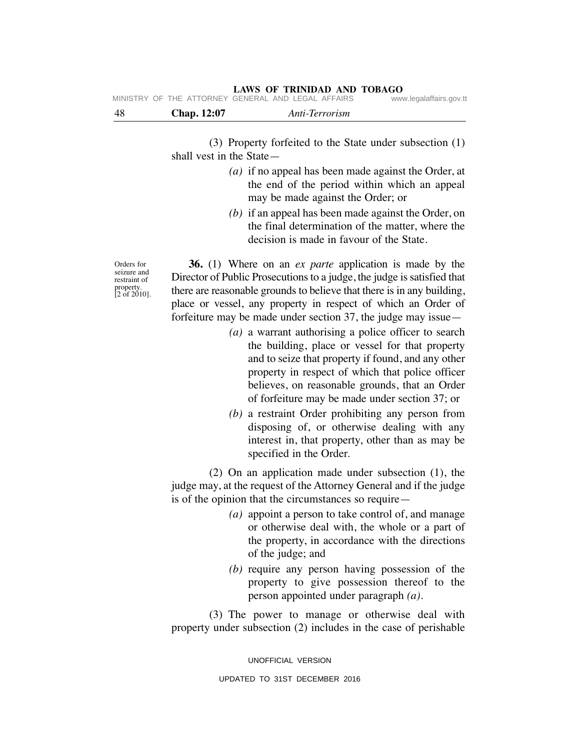| -48 | <b>Chap.</b> 12:07 | Anti-Terrorism                                     |                         |
|-----|--------------------|----------------------------------------------------|-------------------------|
|     |                    | MINISTRY OF THE ATTORNEY GENERAL AND LEGAL AFFAIRS | www.legalaffairs.gov.tt |

(3) Property forfeited to the State under subsection (1) shall vest in the State—

- *(a)* if no appeal has been made against the Order, at the end of the period within which an appeal may be made against the Order; or
- *(b)* if an appeal has been made against the Order, on the final determination of the matter, where the decision is made in favour of the State.

Orders for seizure and restraint of property. [2 of 2010].

**36.** (1) Where on an *ex parte* application is made by the Director of Public Prosecutions to a judge, the judge is satisfied that there are reasonable grounds to believe that there is in any building, place or vessel, any property in respect of which an Order of forfeiture may be made under section 37, the judge may issue—

- *(a)* a warrant authorising a police officer to search the building, place or vessel for that property and to seize that property if found, and any other property in respect of which that police officer believes, on reasonable grounds, that an Order of forfeiture may be made under section 37; or
- *(b)* a restraint Order prohibiting any person from disposing of, or otherwise dealing with any interest in, that property, other than as may be specified in the Order.

(2) On an application made under subsection (1), the judge may, at the request of the Attorney General and if the judge is of the opinion that the circumstances so require—

- *(a)* appoint a person to take control of, and manage or otherwise deal with, the whole or a part of the property, in accordance with the directions of the judge; and
- *(b)* require any person having possession of the property to give possession thereof to the person appointed under paragraph *(a)*.

(3) The power to manage or otherwise deal with property under subsection (2) includes in the case of perishable

> UNOFFICIAL VERSION UPDATED TO 31ST DECEMBER 2016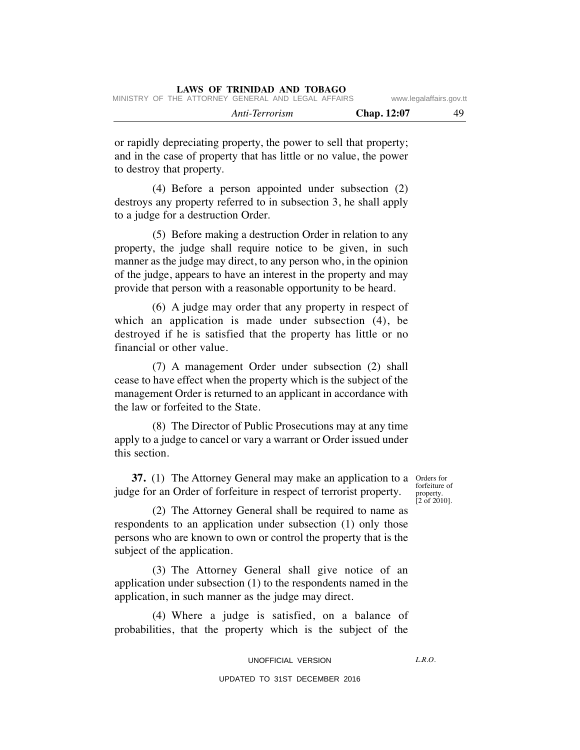|  |  |                                                    | Anti-Terrorism |  | <b>Chap.</b> 12:07 | 49                      |
|--|--|----------------------------------------------------|----------------|--|--------------------|-------------------------|
|  |  | MINISTRY OF THE ATTORNEY GENERAL AND LEGAL AFFAIRS |                |  |                    | www.legalaffairs.gov.tt |

or rapidly depreciating property, the power to sell that property; and in the case of property that has little or no value, the power to destroy that property.

(4) Before a person appointed under subsection (2) destroys any property referred to in subsection 3, he shall apply to a judge for a destruction Order.

(5) Before making a destruction Order in relation to any property, the judge shall require notice to be given, in such manner as the judge may direct, to any person who, in the opinion of the judge, appears to have an interest in the property and may provide that person with a reasonable opportunity to be heard.

(6) A judge may order that any property in respect of which an application is made under subsection (4), be destroyed if he is satisfied that the property has little or no financial or other value.

(7) A management Order under subsection (2) shall cease to have effect when the property which is the subject of the management Order is returned to an applicant in accordance with the law or forfeited to the State.

(8) The Director of Public Prosecutions may at any time apply to a judge to cancel or vary a warrant or Order issued under this section.

**37.** (1) The Attorney General may make an application to a Orders for judge for an Order of forfeiture in respect of terrorist property.

forfeiture of property. [2 of 2010].

(2) The Attorney General shall be required to name as respondents to an application under subsection (1) only those persons who are known to own or control the property that is the subject of the application.

(3) The Attorney General shall give notice of an application under subsection (1) to the respondents named in the application, in such manner as the judge may direct.

(4) Where a judge is satisfied, on a balance of probabilities, that the property which is the subject of the

UNOFFICIAL VERSION

 $LRO$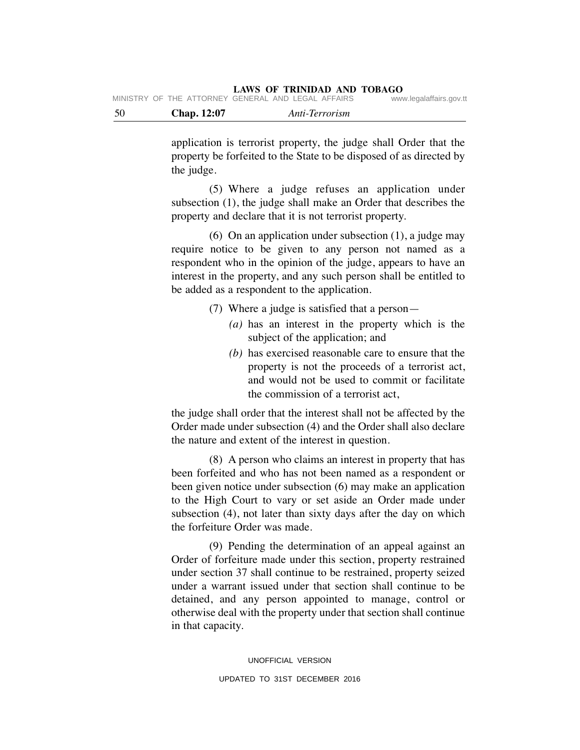| - 50 | <b>Chap.</b> 12:07 | Anti-Terrorism                                     |                         |
|------|--------------------|----------------------------------------------------|-------------------------|
|      |                    | MINISTRY OF THE ATTORNEY GENERAL AND LEGAL AFFAIRS | www.legalaffairs.gov.tt |

application is terrorist property, the judge shall Order that the property be forfeited to the State to be disposed of as directed by the judge.

(5) Where a judge refuses an application under subsection (1), the judge shall make an Order that describes the property and declare that it is not terrorist property.

(6) On an application under subsection (1), a judge may require notice to be given to any person not named as a respondent who in the opinion of the judge, appears to have an interest in the property, and any such person shall be entitled to be added as a respondent to the application.

(7) Where a judge is satisfied that a person—

- *(a)* has an interest in the property which is the subject of the application; and
- *(b)* has exercised reasonable care to ensure that the property is not the proceeds of a terrorist act, and would not be used to commit or facilitate the commission of a terrorist act,

the judge shall order that the interest shall not be affected by the Order made under subsection (4) and the Order shall also declare the nature and extent of the interest in question.

(8) A person who claims an interest in property that has been forfeited and who has not been named as a respondent or been given notice under subsection (6) may make an application to the High Court to vary or set aside an Order made under subsection (4), not later than sixty days after the day on which the forfeiture Order was made.

(9) Pending the determination of an appeal against an Order of forfeiture made under this section, property restrained under section 37 shall continue to be restrained, property seized under a warrant issued under that section shall continue to be detained, and any person appointed to manage, control or otherwise deal with the property under that section shall continue in that capacity.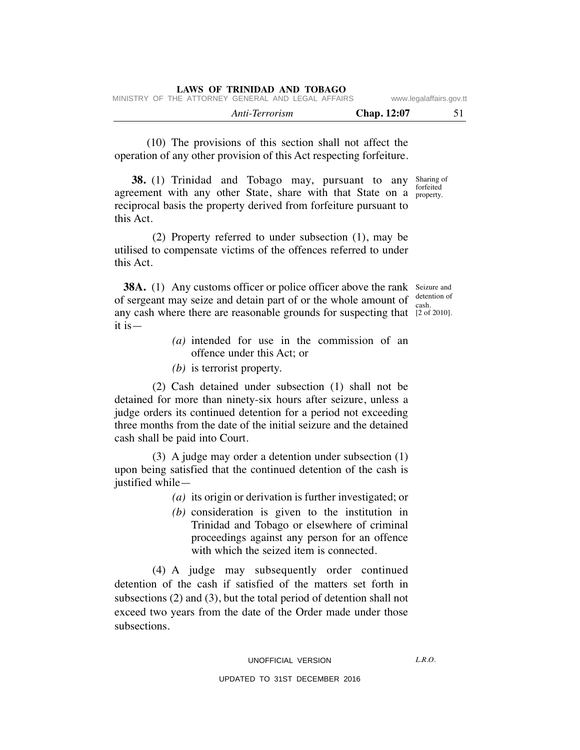|  | LAWS OF TRINIDAD AND TOBAGO |  |
|--|-----------------------------|--|
|  |                             |  |

|  |                                                    | Anti-Terrorism |  | <b>Chap.</b> 12:07 |                         |
|--|----------------------------------------------------|----------------|--|--------------------|-------------------------|
|  | MINISTRY OF THE ATTORNEY GENERAL AND LEGAL AFFAIRS |                |  |                    | www.legalaffairs.gov.tt |

(10) The provisions of this section shall not affect the operation of any other provision of this Act respecting forfeiture.

**38.** (1) Trinidad and Tobago may, pursuant to any Sharing of agreement with any other State, share with that State on a property reciprocal basis the property derived from forfeiture pursuant to this Act. property.

(2) Property referred to under subsection (1), may be utilised to compensate victims of the offences referred to under this Act.

**38A.** (1) Any customs officer or police officer above the rank Seizure and of sergeant may seize and detain part of or the whole amount of  $\frac{\text{detection of}}{\text{cosh}}$ any cash where there are reasonable grounds for suspecting that [2 of 2010]. it is cash.

- *(a)* intended for use in the commission of an offence under this Act; or
- *(b)* is terrorist property.

(2) Cash detained under subsection (1) shall not be detained for more than ninety-six hours after seizure, unless a judge orders its continued detention for a period not exceeding three months from the date of the initial seizure and the detained cash shall be paid into Court.

(3) A judge may order a detention under subsection (1) upon being satisfied that the continued detention of the cash is justified while—

*(a)* its origin or derivation is further investigated; or

*(b)* consideration is given to the institution in Trinidad and Tobago or elsewhere of criminal proceedings against any person for an offence with which the seized item is connected.

(4) A judge may subsequently order continued detention of the cash if satisfied of the matters set forth in subsections (2) and (3), but the total period of detention shall not exceed two years from the date of the Order made under those subsections.

 $LRO$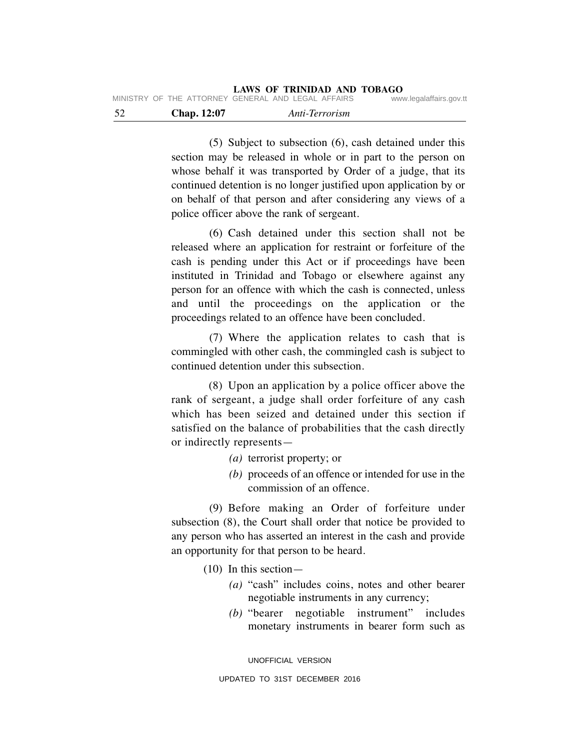| - 52 | <b>Chap.</b> 12:07 | Anti-Terrorism                                     |                         |
|------|--------------------|----------------------------------------------------|-------------------------|
|      |                    | MINISTRY OF THE ATTORNEY GENERAL AND LEGAL AFFAIRS | www.legalaffairs.gov.tt |

(5) Subject to subsection (6), cash detained under this section may be released in whole or in part to the person on whose behalf it was transported by Order of a judge, that its continued detention is no longer justified upon application by or on behalf of that person and after considering any views of a police officer above the rank of sergeant.

(6) Cash detained under this section shall not be released where an application for restraint or forfeiture of the cash is pending under this Act or if proceedings have been instituted in Trinidad and Tobago or elsewhere against any person for an offence with which the cash is connected, unless and until the proceedings on the application or the proceedings related to an offence have been concluded.

(7) Where the application relates to cash that is commingled with other cash, the commingled cash is subject to continued detention under this subsection.

(8) Upon an application by a police officer above the rank of sergeant, a judge shall order forfeiture of any cash which has been seized and detained under this section if satisfied on the balance of probabilities that the cash directly or indirectly represents—

- *(a)* terrorist property; or
- *(b)* proceeds of an offence or intended for use in the commission of an offence.

(9) Before making an Order of forfeiture under subsection (8), the Court shall order that notice be provided to any person who has asserted an interest in the cash and provide an opportunity for that person to be heard.

(10) In this section—

- *(a)* "cash" includes coins, notes and other bearer negotiable instruments in any currency;
- *(b)* "bearer negotiable instrument" includes monetary instruments in bearer form such as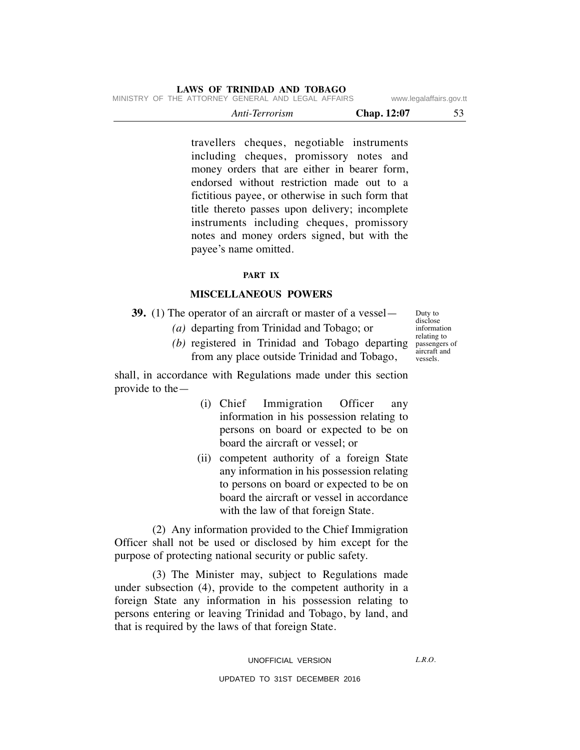|  |                                                    | Anti-Terrorism |  | <b>Chap.</b> 12:07 |                         |
|--|----------------------------------------------------|----------------|--|--------------------|-------------------------|
|  | MINISTRY OF THE ATTORNEY GENERAL AND LEGAL AFFAIRS |                |  |                    | www.legalaffairs.gov.tt |

travellers cheques, negotiable instruments including cheques, promissory notes and money orders that are either in bearer form, endorsed without restriction made out to a fictitious payee, or otherwise in such form that title thereto passes upon delivery; incomplete instruments including cheques, promissory notes and money orders signed, but with the payee's name omitted.

# **PART IX**

#### **MISCELLANEOUS POWERS**

**39.** (1) The operator of an aircraft or master of a vessel—

- *(a)* departing from Trinidad and Tobago; or
- *(b)* registered in Trinidad and Tobago departing from any place outside Trinidad and Tobago,

shall, in accordance with Regulations made under this section provide to the—

- (i) Chief Immigration Officer any information in his possession relating to persons on board or expected to be on board the aircraft or vessel; or
- (ii) competent authority of a foreign State any information in his possession relating to persons on board or expected to be on board the aircraft or vessel in accordance with the law of that foreign State.

(2) Any information provided to the Chief Immigration Officer shall not be used or disclosed by him except for the purpose of protecting national security or public safety.

(3) The Minister may, subject to Regulations made under subsection (4), provide to the competent authority in a foreign State any information in his possession relating to persons entering or leaving Trinidad and Tobago, by land, and that is required by the laws of that foreign State.

Duty to disclose information relating to passengers of aircraft and

vessels.

 $LRO$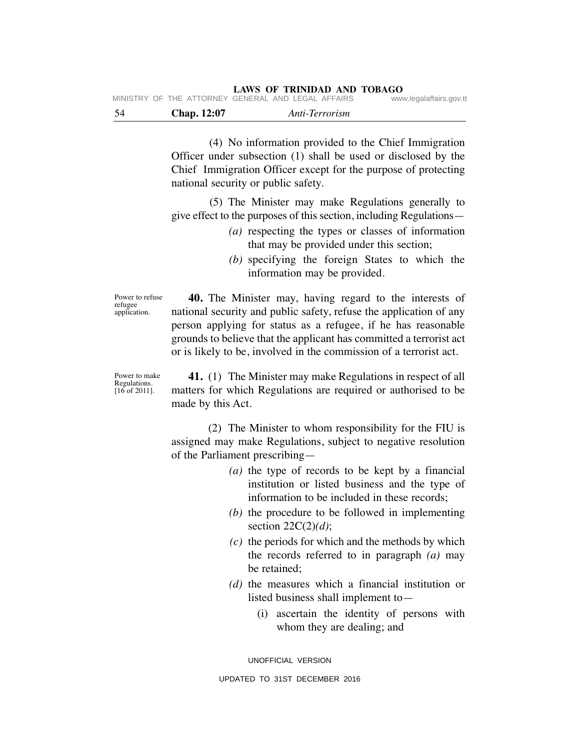|      |             | IVIIINIOTINT OF THE ATTONNET GENENAE AIND LEGAE AFFAING. | www.icyalallallo.yuv.ll |
|------|-------------|----------------------------------------------------------|-------------------------|
| - 54 | Chap. 12:07 | Anti-Terrorism                                           |                         |

(4) No information provided to the Chief Immigration Officer under subsection (1) shall be used or disclosed by the Chief Immigration Officer except for the purpose of protecting national security or public safety.

(5) The Minister may make Regulations generally to give effect to the purposes of this section, including Regulations—

- *(a)* respecting the types or classes of information that may be provided under this section;
- *(b)* specifying the foreign States to which the information may be provided.

Power to refuse refugee application.

**40.** The Minister may, having regard to the interests of national security and public safety, refuse the application of any person applying for status as a refugee, if he has reasonable grounds to believe that the applicant has committed a terrorist act or is likely to be, involved in the commission of a terrorist act.

Power to make Regulations. [16 of 2011].

**41.** (1) The Minister may make Regulations in respect of all matters for which Regulations are required or authorised to be made by this Act.

(2) The Minister to whom responsibility for the FIU is assigned may make Regulations, subject to negative resolution of the Parliament prescribing—

- *(a)* the type of records to be kept by a financial institution or listed business and the type of information to be included in these records;
- *(b)* the procedure to be followed in implementing section 22C(2)*(d)*;
- *(c)* the periods for which and the methods by which the records referred to in paragraph *(a)* may be retained;
- *(d)* the measures which a financial institution or listed business shall implement to—
	- (i) ascertain the identity of persons with whom they are dealing; and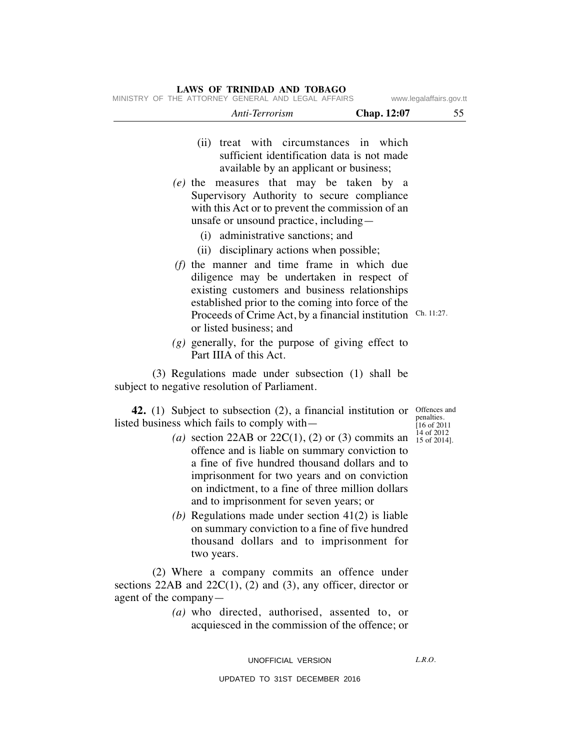|                                               | Anti-Terrorism                                                                                                                                                                                                                                                                                                                                     | Chap. 12:07 | 55                                                                      |
|-----------------------------------------------|----------------------------------------------------------------------------------------------------------------------------------------------------------------------------------------------------------------------------------------------------------------------------------------------------------------------------------------------------|-------------|-------------------------------------------------------------------------|
|                                               | (ii) treat with circumstances in<br>sufficient identification data is not made<br>available by an applicant or business;<br>(e) the measures that may be taken by<br>Supervisory Authority to secure compliance<br>with this Act or to prevent the commission of an<br>unsafe or unsound practice, including—<br>(i) administrative sanctions; and | which<br>a  |                                                                         |
|                                               | (ii) disciplinary actions when possible;<br>$(f)$ the manner and time frame in which due<br>diligence may be undertaken in respect of<br>existing customers and business relationships<br>established prior to the coming into force of the<br>Proceeds of Crime Act, by a financial institution<br>or listed business; and                        |             | Ch. 11:27.                                                              |
|                                               | $(g)$ generally, for the purpose of giving effect to<br>Part IIIA of this Act.                                                                                                                                                                                                                                                                     |             |                                                                         |
| subject to negative resolution of Parliament. | (3) Regulations made under subsection (1) shall be                                                                                                                                                                                                                                                                                                 |             |                                                                         |
| listed business which fails to comply with-   | <b>42.</b> (1) Subject to subsection (2), a financial institution or<br>(a) section 22AB or $22C(1)$ , (2) or (3) commits an<br>offence and is liable on summary conviction to<br>a fine of five hundred thousand dollars and to                                                                                                                   |             | Offences and<br>penalties.<br>I16 of 2011<br>14 of 2012<br>15 of 2014]. |
|                                               | imprisonment for two years and on conviction<br>on indictment, to a fine of three million dollars<br>and to imprisonment for seven years; or<br>(b) Regulations made under section $41(2)$ is liable<br>on summary conviction to a fine of five hundred<br>thousand dollars and to imprisonment for                                                |             |                                                                         |

(2) Where a company commits an offence under sections  $22AB$  and  $22C(1)$ ,  $(2)$  and  $(3)$ , any officer, director or agent of the company—

*(a)* who directed, authorised, assented to, or acquiesced in the commission of the offence; or

UNOFFICIAL VERSION

*L.R.O.* 

UPDATED TO 31ST DECEMBER 2016

#### **LAWS OF TRINIDAD AND TOBAGO**

MINISTRY OF THE ATTORNEY GENERAL AND LEGAL AFFAIRS www.legalaffairs.gov.tt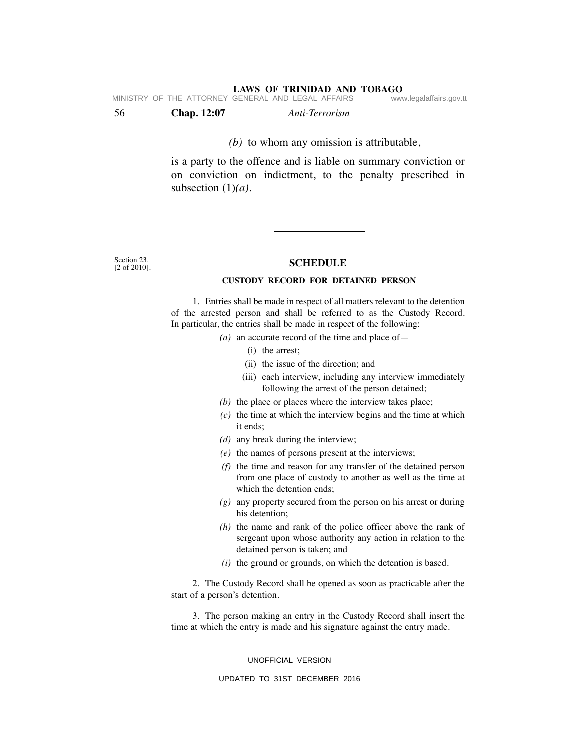| - 56 | <b>Chap.</b> 12:07 | Anti-Terrorism                                     |                         |
|------|--------------------|----------------------------------------------------|-------------------------|
|      |                    | MINISTRY OF THE ATTORNEY GENERAL AND LEGAL AFFAIRS | www.legalaffairs.gov.tt |

*(b)* to whom any omission is attributable,

is a party to the offence and is liable on summary conviction or on conviction on indictment, to the penalty prescribed in subsection (1)*(a)*.

Section 23. [2 of 2010].

#### **SCHEDULE**

#### **CUSTODY RECORD FOR DETAINED PERSON**

1. Entries shall be made in respect of all matters relevant to the detention of the arrested person and shall be referred to as the Custody Record. In particular, the entries shall be made in respect of the following:

- *(a)* an accurate record of the time and place of—
	- (i) the arrest;
	- (ii) the issue of the direction; and
	- (iii) each interview, including any interview immediately following the arrest of the person detained;
- *(b)* the place or places where the interview takes place;
- *(c)* the time at which the interview begins and the time at which it ends;
- *(d)* any break during the interview;
- *(e)* the names of persons present at the interviews;
- *(f)* the time and reason for any transfer of the detained person from one place of custody to another as well as the time at which the detention ends;
- *(g)* any property secured from the person on his arrest or during his detention;
- *(h)* the name and rank of the police officer above the rank of sergeant upon whose authority any action in relation to the detained person is taken; and
- *(i)* the ground or grounds, on which the detention is based.

2. The Custody Record shall be opened as soon as practicable after the start of a person's detention.

3. The person making an entry in the Custody Record shall insert the time at which the entry is made and his signature against the entry made.

#### UNOFFICIAL VERSION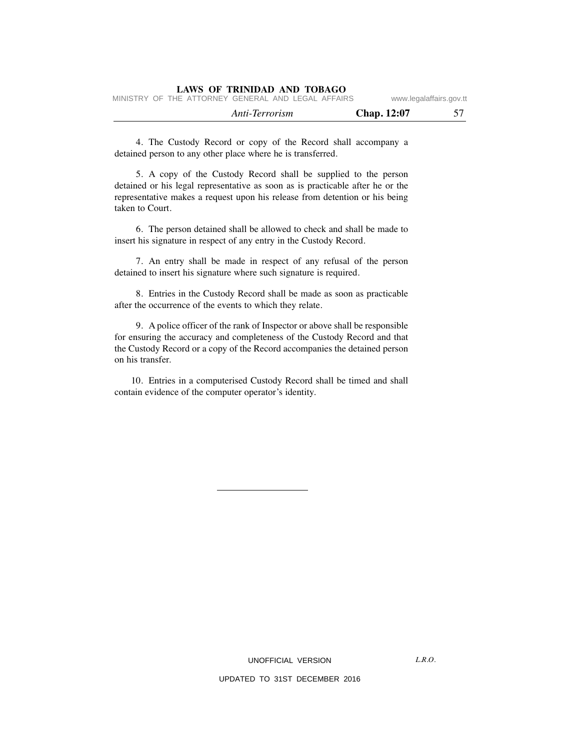|  |                                                    | Anti-Terrorism |  | <b>Chap.</b> 12:07 |                         |
|--|----------------------------------------------------|----------------|--|--------------------|-------------------------|
|  | MINISTRY OF THE ATTORNEY GENERAL AND LEGAL AFFAIRS |                |  |                    | www.legalaffairs.gov.tt |

4. The Custody Record or copy of the Record shall accompany a detained person to any other place where he is transferred.

5. A copy of the Custody Record shall be supplied to the person detained or his legal representative as soon as is practicable after he or the representative makes a request upon his release from detention or his being taken to Court.

6. The person detained shall be allowed to check and shall be made to insert his signature in respect of any entry in the Custody Record.

7. An entry shall be made in respect of any refusal of the person detained to insert his signature where such signature is required.

8. Entries in the Custody Record shall be made as soon as practicable after the occurrence of the events to which they relate.

9. A police officer of the rank of Inspector or above shall be responsible for ensuring the accuracy and completeness of the Custody Record and that the Custody Record or a copy of the Record accompanies the detained person on his transfer.

10. Entries in a computerised Custody Record shall be timed and shall contain evidence of the computer operator's identity.

UNOFFICIAL VERSION

 $LRO$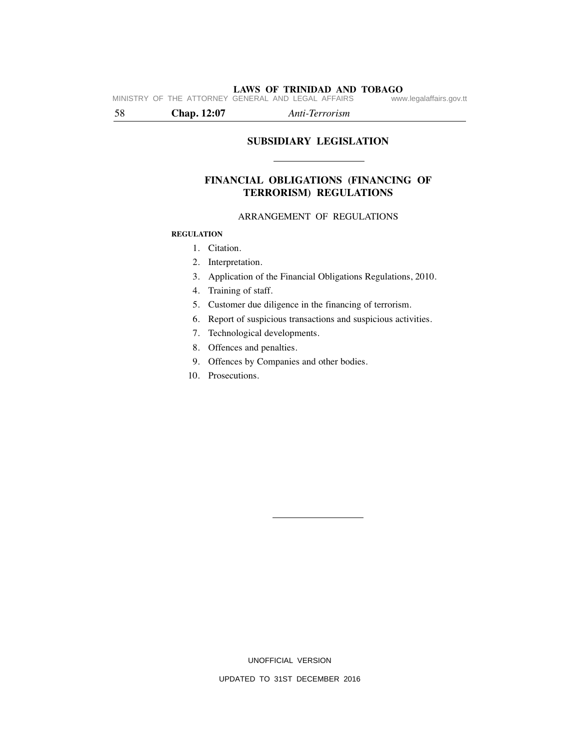**LAWS OF TRINIDAD AND TOBAGO**<br>GENERAL AND LEGAL AFFAIRS www.legalaffairs.gov.tt MINISTRY OF THE ATTORNEY GENERAL AND LEGAL AFFAIRS

58 **Chap. 12:07** *Anti-Terrorism*

# **SUBSIDIARY LEGISLATION**

# **FINANCIAL OBLIGATIONS (FINANCING OF TERRORISM) REGULATIONS**

#### ARRANGEMENT OF REGULATIONS

### **REGULATION**

# 1. Citation.

- 2. Interpretation.
- 3. Application of the Financial Obligations Regulations, 2010.
- 4. Training of staff.
- 5. Customer due diligence in the financing of terrorism.
- 6. Report of suspicious transactions and suspicious activities.
- 7. Technological developments.
- 8. Offences and penalties.
- 9. Offences by Companies and other bodies.
- 10. Prosecutions.

UNOFFICIAL VERSION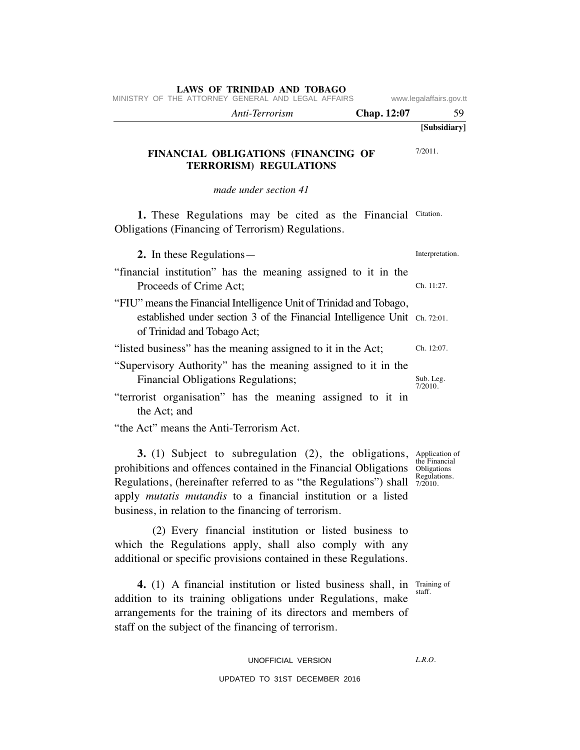| MINISTRY OF THE ATTORNEY GENERAL AND LEGAL AFFAIRS                                                                                                                              |                    | www.legalaffairs.gov.tt |  |
|---------------------------------------------------------------------------------------------------------------------------------------------------------------------------------|--------------------|-------------------------|--|
| Anti-Terrorism                                                                                                                                                                  | <b>Chap.</b> 12:07 | 59                      |  |
|                                                                                                                                                                                 |                    | [Subsidiary]            |  |
| FINANCIAL OBLIGATIONS (FINANCING OF<br><b>TERRORISM) REGULATIONS</b>                                                                                                            |                    | $7/2011$ .              |  |
| made under section 41                                                                                                                                                           |                    |                         |  |
| 1. These Regulations may be cited as the Financial<br>Obligations (Financing of Terrorism) Regulations.                                                                         |                    | Citation.               |  |
| 2. In these Regulations—                                                                                                                                                        |                    | Interpretation.         |  |
| "financial institution" has the meaning assigned to it in the<br>Proceeds of Crime Act;                                                                                         |                    | Ch. 11:27.              |  |
| "FIU" means the Financial Intelligence Unit of Trinidad and Tobago,<br>established under section 3 of the Financial Intelligence Unit Ch. 72:01.<br>of Trinidad and Tobago Act; |                    |                         |  |

"listed business" has the meaning assigned to it in the Act; "Supervisory Authority" has the meaning assigned to it in the Financial Obligations Regulations; Ch. 12:07. Sub. Leg.

"terrorist organisation" has the meaning assigned to it in the Act; and

"the Act" means the Anti-Terrorism Act.

**3.** (1) Subject to subregulation (2), the obligations, Application of prohibitions and offences contained in the Financial Obligations the Financial Regulations, (hereinafter referred to as "the Regulations") shall  $\frac{Regulations}{7/2010}$ . apply *mutatis mutandis* to a financial institution or a listed business, in relation to the financing of terrorism.

(2) Every financial institution or listed business to which the Regulations apply, shall also comply with any additional or specific provisions contained in these Regulations.

Obligations 7/2010.

7/2010.

staff.

**4.** (1) A financial institution or listed business shall, in Training of addition to its training obligations under Regulations, make arrangements for the training of its directors and members of staff on the subject of the financing of terrorism.

> UNOFFICIAL VERSION UPDATED TO 31ST DECEMBER 2016

 $LRO$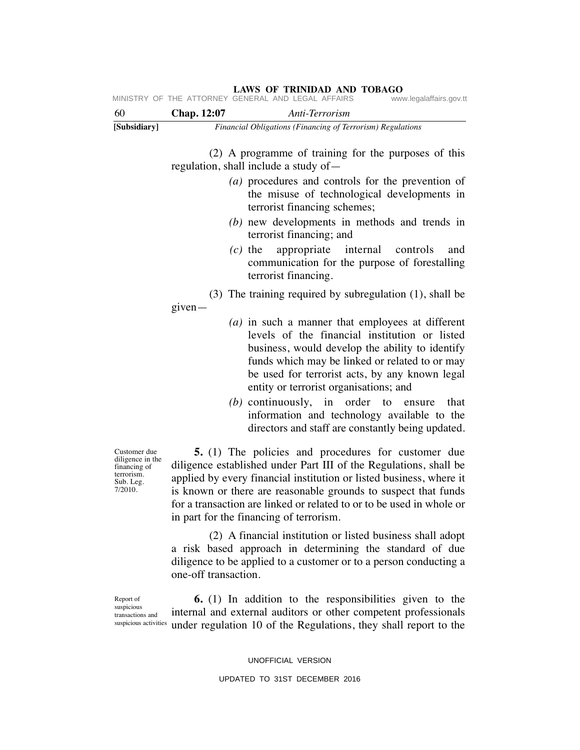| LAWS OF TRINIDAD AND TOBAGO<br>MINISTRY OF THE ATTORNEY GENERAL AND LEGAL AFFAIRS<br>www.legalaffairs.gov.tt |                                                                                                                                                                                                                                                                                                                                                                                             |                                                                                                                                                                                                                                                                                                                                                                                                                                                                  |  |
|--------------------------------------------------------------------------------------------------------------|---------------------------------------------------------------------------------------------------------------------------------------------------------------------------------------------------------------------------------------------------------------------------------------------------------------------------------------------------------------------------------------------|------------------------------------------------------------------------------------------------------------------------------------------------------------------------------------------------------------------------------------------------------------------------------------------------------------------------------------------------------------------------------------------------------------------------------------------------------------------|--|
| 60                                                                                                           | <b>Chap.</b> 12:07                                                                                                                                                                                                                                                                                                                                                                          | Anti-Terrorism                                                                                                                                                                                                                                                                                                                                                                                                                                                   |  |
| [Subsidiary]                                                                                                 |                                                                                                                                                                                                                                                                                                                                                                                             | Financial Obligations (Financing of Terrorism) Regulations                                                                                                                                                                                                                                                                                                                                                                                                       |  |
|                                                                                                              |                                                                                                                                                                                                                                                                                                                                                                                             | (2) A programme of training for the purposes of this<br>regulation, shall include a study of -                                                                                                                                                                                                                                                                                                                                                                   |  |
|                                                                                                              |                                                                                                                                                                                                                                                                                                                                                                                             | (a) procedures and controls for the prevention of<br>the misuse of technological developments in<br>terrorist financing schemes;                                                                                                                                                                                                                                                                                                                                 |  |
|                                                                                                              |                                                                                                                                                                                                                                                                                                                                                                                             | $(b)$ new developments in methods and trends in<br>terrorist financing; and                                                                                                                                                                                                                                                                                                                                                                                      |  |
|                                                                                                              |                                                                                                                                                                                                                                                                                                                                                                                             | appropriate<br>$(c)$ the<br>internal<br>controls<br>and<br>communication for the purpose of forestalling<br>terrorist financing.                                                                                                                                                                                                                                                                                                                                 |  |
|                                                                                                              | given-                                                                                                                                                                                                                                                                                                                                                                                      | $(3)$ The training required by subregulation $(1)$ , shall be                                                                                                                                                                                                                                                                                                                                                                                                    |  |
|                                                                                                              |                                                                                                                                                                                                                                                                                                                                                                                             | $(a)$ in such a manner that employees at different<br>levels of the financial institution or listed<br>business, would develop the ability to identify<br>funds which may be linked or related to or may<br>be used for terrorist acts, by any known legal<br>entity or terrorist organisations; and<br>$(b)$ continuously, in order<br>to<br>that<br>ensure<br>information and technology available to the<br>directors and staff are constantly being updated. |  |
| Customer due<br>diligence in the<br>financing of<br>terrorism.<br>Sub. Leg.<br>7/2010.                       | <b>5.</b> (1) The policies and procedures for customer due<br>diligence established under Part III of the Regulations, shall be<br>applied by every financial institution or listed business, where it<br>is known or there are reasonable grounds to suspect that funds<br>for a transaction are linked or related to or to be used in whole or<br>in part for the financing of terrorism. |                                                                                                                                                                                                                                                                                                                                                                                                                                                                  |  |
|                                                                                                              | one-off transaction.                                                                                                                                                                                                                                                                                                                                                                        | (2) A financial institution or listed business shall adopt<br>a risk based approach in determining the standard of due<br>diligence to be applied to a customer or to a person conducting a                                                                                                                                                                                                                                                                      |  |
| Report of<br>enenicione                                                                                      |                                                                                                                                                                                                                                                                                                                                                                                             | <b>6.</b> (1) In addition to the responsibilities given to the                                                                                                                                                                                                                                                                                                                                                                                                   |  |

suspicious transactions and

internal and external auditors or other competent professionals suspicious activities under regulation 10 of the Regulations, they shall report to the

UNOFFICIAL VERSION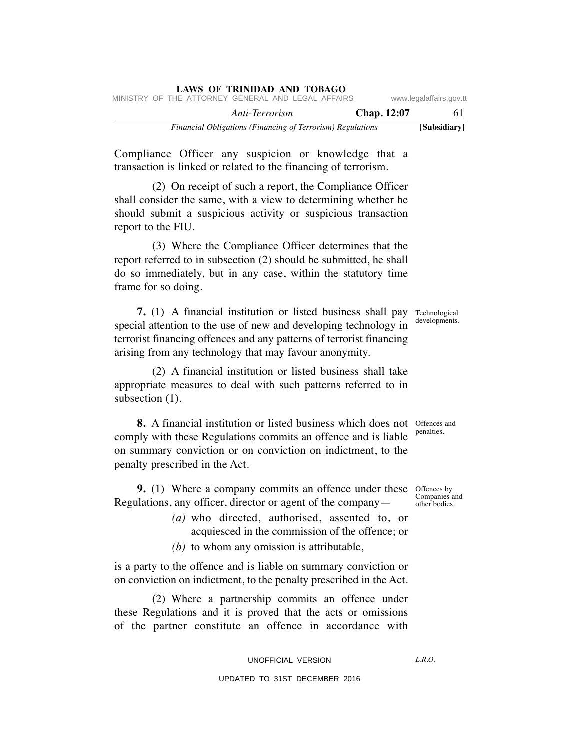|  | LAWS OF IRINIDAD AND TOBAGO                                |             |                         |
|--|------------------------------------------------------------|-------------|-------------------------|
|  | MINISTRY OF THE ATTORNEY GENERAL AND LEGAL AFFAIRS         |             | www.legalaffairs.gov.tt |
|  | Anti-Terrorism                                             | Chap. 12:07 | 61                      |
|  | Financial Obligations (Financing of Terrorism) Regulations |             | [Subsidiary]            |

Compliance Officer any suspicion or knowledge that a transaction is linked or related to the financing of terrorism.

**LAWS OF TRINIDAD AND TOBAGO**

(2) On receipt of such a report, the Compliance Officer shall consider the same, with a view to determining whether he should submit a suspicious activity or suspicious transaction report to the FIU.

(3) Where the Compliance Officer determines that the report referred to in subsection (2) should be submitted, he shall do so immediately, but in any case, within the statutory time frame for so doing.

**7.** (1) A financial institution or listed business shall pay Technological special attention to the use of new and developing technology in terrorist financing offences and any patterns of terrorist financing arising from any technology that may favour anonymity.

(2) A financial institution or listed business shall take appropriate measures to deal with such patterns referred to in subsection  $(1)$ .

**8.** A financial institution or listed business which does not offences and comply with these Regulations commits an offence and is liable on summary conviction or on conviction on indictment, to the penalty prescribed in the Act.

**9.** (1) Where a company commits an offence under these offences by Regulations, any officer, director or agent of the company—

> *(a)* who directed, authorised, assented to, or acquiesced in the commission of the offence; or

*(b)* to whom any omission is attributable,

is a party to the offence and is liable on summary conviction or on conviction on indictment, to the penalty prescribed in the Act.

(2) Where a partnership commits an offence under these Regulations and it is proved that the acts or omissions of the partner constitute an offence in accordance with

> UNOFFICIAL VERSION UPDATED TO 31ST DECEMBER 2016

developments.

penalties.

Companies and other bodies.